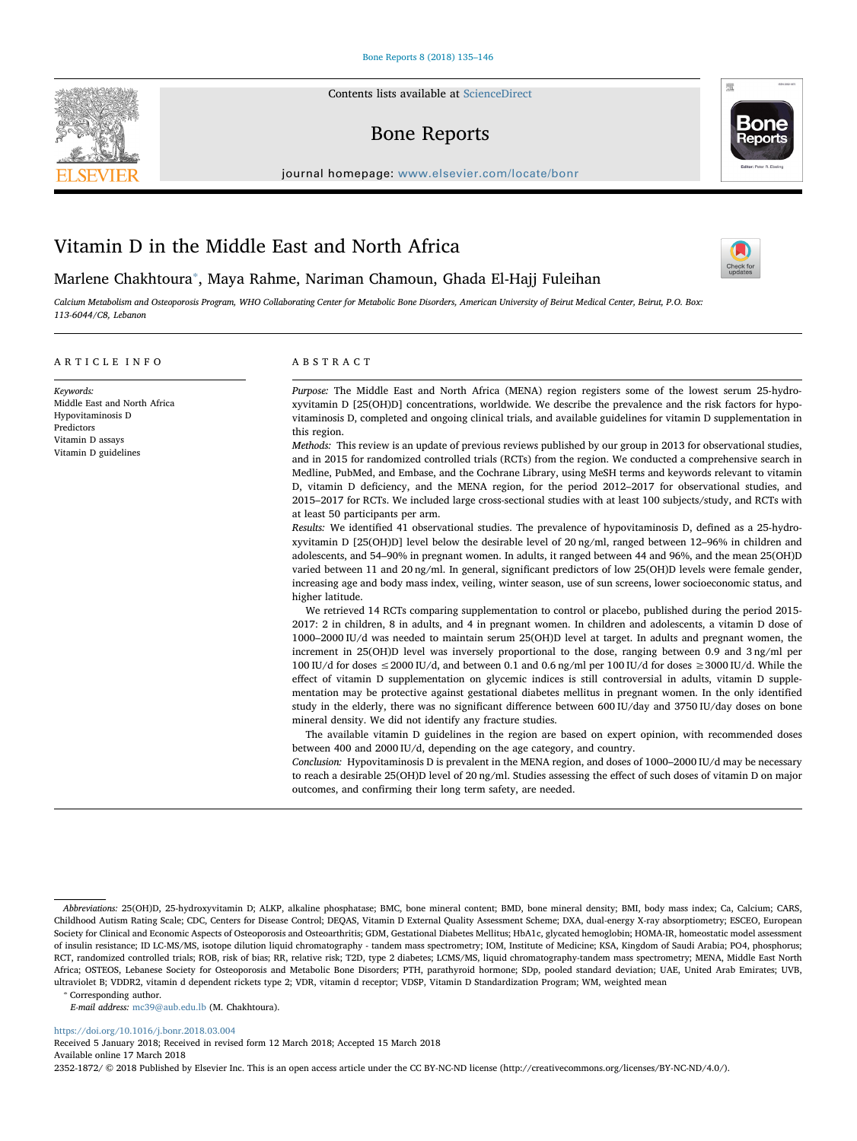Contents lists available at [ScienceDirect](http://www.sciencedirect.com/science/journal/23521872)

# Bone Reports

journal homepage: [www.elsevier.com/locate/bonr](https://www.elsevier.com/locate/bonr)

# Vitamin D in the Middle East and North Africa

Marlene Chakhtoura[⁎](#page-0-0) , Maya Rahme, Nariman Chamoun, Ghada El-Hajj Fuleihan

Calcium Metabolism and Osteoporosis Program, WHO Collaborating Center for Metabolic Bone Disorders, American University of Beirut Medical Center, Beirut, P.O. Box: 113-6044/C8, Lebanon

# ARTICLE INFO

Middle East and North Africa Hypovitaminosis D Predictors Vitamin D assays Vitamin D guidelines

Keywords:

# ABSTRACT

Purpose: The Middle East and North Africa (MENA) region registers some of the lowest serum 25-hydroxyvitamin D [25(OH)D] concentrations, worldwide. We describe the prevalence and the risk factors for hypovitaminosis D, completed and ongoing clinical trials, and available guidelines for vitamin D supplementation in this region.

Methods: This review is an update of previous reviews published by our group in 2013 for observational studies, and in 2015 for randomized controlled trials (RCTs) from the region. We conducted a comprehensive search in Medline, PubMed, and Embase, and the Cochrane Library, using MeSH terms and keywords relevant to vitamin D, vitamin D deficiency, and the MENA region, for the period 2012–2017 for observational studies, and 2015–2017 for RCTs. We included large cross-sectional studies with at least 100 subjects/study, and RCTs with at least 50 participants per arm.

Results: We identified 41 observational studies. The prevalence of hypovitaminosis D, defined as a 25-hydroxyvitamin D [25(OH)D] level below the desirable level of 20 ng/ml, ranged between 12–96% in children and adolescents, and 54–90% in pregnant women. In adults, it ranged between 44 and 96%, and the mean 25(OH)D varied between 11 and 20 ng/ml. In general, significant predictors of low 25(OH)D levels were female gender, increasing age and body mass index, veiling, winter season, use of sun screens, lower socioeconomic status, and higher latitude.

We retrieved 14 RCTs comparing supplementation to control or placebo, published during the period 2015- 2017: 2 in children, 8 in adults, and 4 in pregnant women. In children and adolescents, a vitamin D dose of 1000–2000 IU/d was needed to maintain serum 25(OH)D level at target. In adults and pregnant women, the increment in 25(OH)D level was inversely proportional to the dose, ranging between 0.9 and 3 ng/ml per 100 IU/d for doses ≤2000 IU/d, and between 0.1 and 0.6 ng/ml per 100 IU/d for doses ≥3000 IU/d. While the effect of vitamin D supplementation on glycemic indices is still controversial in adults, vitamin D supplementation may be protective against gestational diabetes mellitus in pregnant women. In the only identified study in the elderly, there was no significant difference between 600 IU/day and 3750 IU/day doses on bone mineral density. We did not identify any fracture studies.

The available vitamin D guidelines in the region are based on expert opinion, with recommended doses between 400 and 2000 IU/d, depending on the age category, and country.

Conclusion: Hypovitaminosis D is prevalent in the MENA region, and doses of 1000–2000 IU/d may be necessary to reach a desirable 25(OH)D level of 20 ng/ml. Studies assessing the effect of such doses of vitamin D on major outcomes, and confirming their long term safety, are needed.

<span id="page-0-0"></span>⁎ Corresponding author.

E-mail address: [mc39@aub.edu.lb](mailto:mc39@aub.edu.lb) (M. Chakhtoura).

<https://doi.org/10.1016/j.bonr.2018.03.004>

Received 5 January 2018; Received in revised form 12 March 2018; Accepted 15 March 2018 Available online 17 March 2018

2352-1872/ © 2018 Published by Elsevier Inc. This is an open access article under the CC BY-NC-ND license (http://creativecommons.org/licenses/BY-NC-ND/4.0/).







Abbreviations: 25(OH)D, 25‑hydroxyvitamin D; ALKP, alkaline phosphatase; BMC, bone mineral content; BMD, bone mineral density; BMI, body mass index; Ca, Calcium; CARS, Childhood Autism Rating Scale; CDC, Centers for Disease Control; DEQAS, Vitamin D External Quality Assessment Scheme; DXA, dual-energy X-ray absorptiometry; ESCEO, European Society for Clinical and Economic Aspects of Osteoporosis and Osteoarthritis; GDM, Gestational Diabetes Mellitus; HbA1c, glycated hemoglobin; HOMA-IR, homeostatic model assessment of insulin resistance; ID LC-MS/MS, isotope dilution liquid chromatography - tandem mass spectrometry; IOM, Institute of Medicine; KSA, Kingdom of Saudi Arabia; PO4, phosphorus; RCT, randomized controlled trials; ROB, risk of bias; RR, relative risk; T2D, type 2 diabetes; LCMS/MS, liquid chromatography-tandem mass spectrometry; MENA, Middle East North Africa; OSTEOS, Lebanese Society for Osteoporosis and Metabolic Bone Disorders; PTH, parathyroid hormone; SDp, pooled standard deviation; UAE, United Arab Emirates; UVB, ultraviolet B; VDDR2, vitamin d dependent rickets type 2; VDR, vitamin d receptor; VDSP, Vitamin D Standardization Program; WM, weighted mean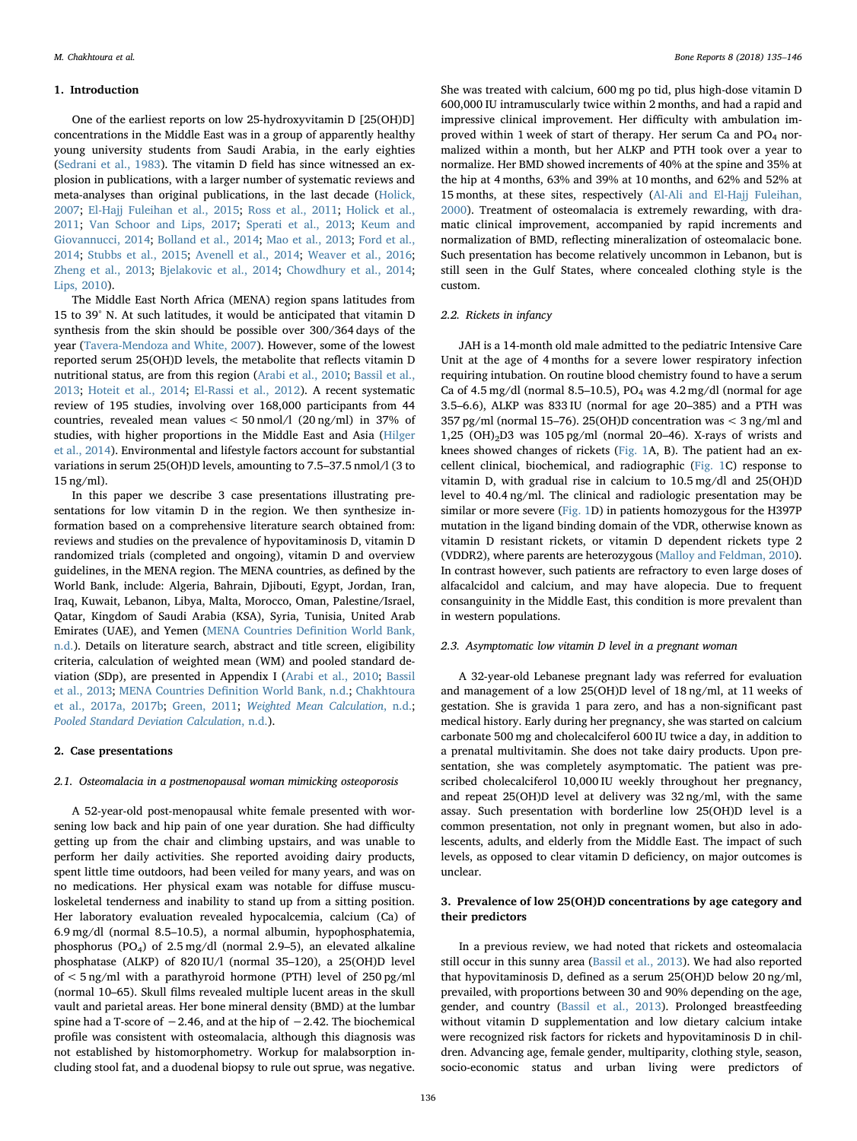#### 1. Introduction

One of the earliest reports on low 25-hydroxyvitamin D [25(OH)D] concentrations in the Middle East was in a group of apparently healthy young university students from Saudi Arabia, in the early eighties ([Sedrani et al., 1983\)](#page-10-0). The vitamin D field has since witnessed an explosion in publications, with a larger number of systematic reviews and meta-analyses than original publications, in the last decade [\(Holick,](#page-9-0) [2007;](#page-9-0) [El-Hajj Fuleihan et al., 2015;](#page-9-1) [Ross et al., 2011;](#page-10-1) [Holick et al.,](#page-9-2) [2011;](#page-9-2) [Van Schoor and Lips, 2017;](#page-11-0) [Sperati et al., 2013;](#page-10-2) [Keum and](#page-10-3) [Giovannucci, 2014;](#page-10-3) [Bolland et al., 2014](#page-9-3); [Mao et al., 2013](#page-10-4); [Ford et al.,](#page-9-4) [2014;](#page-9-4) [Stubbs et al., 2015](#page-10-5); [Avenell et al., 2014](#page-9-5); [Weaver et al., 2016](#page-11-1); [Zheng et al., 2013](#page-11-2); Bielakovic et al., 2014; [Chowdhury et al., 2014](#page-9-7); [Lips, 2010\)](#page-10-6).

The Middle East North Africa (MENA) region spans latitudes from 15 to 39° N. At such latitudes, it would be anticipated that vitamin D synthesis from the skin should be possible over 300/364 days of the year [\(Tavera-Mendoza and White, 2007](#page-11-3)). However, some of the lowest reported serum 25(OH)D levels, the metabolite that reflects vitamin D nutritional status, are from this region [\(Arabi et al., 2010](#page-9-8); [Bassil et al.,](#page-9-9) [2013;](#page-9-9) [Hoteit et al., 2014](#page-9-10); [El-Rassi et al., 2012\)](#page-9-11). A recent systematic review of 195 studies, involving over 168,000 participants from 44 countries, revealed mean values < 50 nmol/l (20 ng/ml) in 37% of studies, with higher proportions in the Middle East and Asia ([Hilger](#page-9-12) [et al., 2014](#page-9-12)). Environmental and lifestyle factors account for substantial variations in serum 25(OH)D levels, amounting to 7.5–37.5 nmol/l (3 to 15 ng/ml).

In this paper we describe 3 case presentations illustrating presentations for low vitamin D in the region. We then synthesize information based on a comprehensive literature search obtained from: reviews and studies on the prevalence of hypovitaminosis D, vitamin D randomized trials (completed and ongoing), vitamin D and overview guidelines, in the MENA region. The MENA countries, as defined by the World Bank, include: Algeria, Bahrain, Djibouti, Egypt, Jordan, Iran, Iraq, Kuwait, Lebanon, Libya, Malta, Morocco, Oman, Palestine/Israel, Qatar, Kingdom of Saudi Arabia (KSA), Syria, Tunisia, United Arab Emirates (UAE), and Yemen ([MENA Countries De](#page-10-7)finition World Bank, [n.d.](#page-10-7)). Details on literature search, abstract and title screen, eligibility criteria, calculation of weighted mean (WM) and pooled standard deviation (SDp), are presented in Appendix I ([Arabi et al., 2010](#page-9-8); [Bassil](#page-9-9) [et al., 2013](#page-9-9); MENA Countries Defi[nition World Bank, n.d.;](#page-10-7) [Chakhtoura](#page-9-13) [et al., 2017a, 2017b;](#page-9-13) [Green, 2011](#page-9-14); [Weighted Mean Calculation](#page-11-4), n.d.; [Pooled Standard Deviation Calculation](#page-10-8), n.d.).

#### 2. Case presentations

#### 2.1. Osteomalacia in a postmenopausal woman mimicking osteoporosis

A 52-year-old post-menopausal white female presented with worsening low back and hip pain of one year duration. She had difficulty getting up from the chair and climbing upstairs, and was unable to perform her daily activities. She reported avoiding dairy products, spent little time outdoors, had been veiled for many years, and was on no medications. Her physical exam was notable for diffuse musculoskeletal tenderness and inability to stand up from a sitting position. Her laboratory evaluation revealed hypocalcemia, calcium (Ca) of 6.9 mg/dl (normal 8.5–10.5), a normal albumin, hypophosphatemia, phosphorus (PO4) of 2.5 mg/dl (normal 2.9–5), an elevated alkaline phosphatase (ALKP) of 820 IU/l (normal 35–120), a 25(OH)D level of < 5 ng/ml with a parathyroid hormone (PTH) level of 250 pg/ml (normal 10–65). Skull films revealed multiple lucent areas in the skull vault and parietal areas. Her bone mineral density (BMD) at the lumbar spine had a T-score of  $-2.46$ , and at the hip of  $-2.42$ . The biochemical profile was consistent with osteomalacia, although this diagnosis was not established by histomorphometry. Workup for malabsorption including stool fat, and a duodenal biopsy to rule out sprue, was negative.

She was treated with calcium, 600 mg po tid, plus high-dose vitamin D 600,000 IU intramuscularly twice within 2 months, and had a rapid and impressive clinical improvement. Her difficulty with ambulation improved within 1 week of start of therapy. Her serum Ca and  $PO<sub>4</sub>$  normalized within a month, but her ALKP and PTH took over a year to normalize. Her BMD showed increments of 40% at the spine and 35% at the hip at 4 months, 63% and 39% at 10 months, and 62% and 52% at 15 months, at these sites, respectively [\(Al-Ali and El-Hajj Fuleihan,](#page-8-0) [2000\)](#page-8-0). Treatment of osteomalacia is extremely rewarding, with dramatic clinical improvement, accompanied by rapid increments and normalization of BMD, reflecting mineralization of osteomalacic bone. Such presentation has become relatively uncommon in Lebanon, but is still seen in the Gulf States, where concealed clothing style is the custom.

# 2.2. Rickets in infancy

JAH is a 14-month old male admitted to the pediatric Intensive Care Unit at the age of 4 months for a severe lower respiratory infection requiring intubation. On routine blood chemistry found to have a serum Ca of 4.5 mg/dl (normal 8.5–10.5),  $PO<sub>4</sub>$  was 4.2 mg/dl (normal for age 3.5–6.6), ALKP was 833 IU (normal for age 20–385) and a PTH was 357 pg/ml (normal 15–76). 25(OH)D concentration was < 3 ng/ml and 1,25  $(OH)_2D3$  was 105 pg/ml (normal 20-46). X-rays of wrists and knees showed changes of rickets [\(Fig. 1A](#page-2-0), B). The patient had an excellent clinical, biochemical, and radiographic ([Fig. 1](#page-2-0)C) response to vitamin D, with gradual rise in calcium to 10.5 mg/dl and 25(OH)D level to 40.4 ng/ml. The clinical and radiologic presentation may be similar or more severe ([Fig. 1D](#page-2-0)) in patients homozygous for the H397P mutation in the ligand binding domain of the VDR, otherwise known as vitamin D resistant rickets, or vitamin D dependent rickets type 2 (VDDR2), where parents are heterozygous ([Malloy and Feldman, 2010](#page-10-9)). In contrast however, such patients are refractory to even large doses of alfacalcidol and calcium, and may have alopecia. Due to frequent consanguinity in the Middle East, this condition is more prevalent than in western populations.

### 2.3. Asymptomatic low vitamin D level in a pregnant woman

A 32-year-old Lebanese pregnant lady was referred for evaluation and management of a low 25(OH)D level of 18 ng/ml, at 11 weeks of gestation. She is gravida 1 para zero, and has a non-significant past medical history. Early during her pregnancy, she was started on calcium carbonate 500 mg and cholecalciferol 600 IU twice a day, in addition to a prenatal multivitamin. She does not take dairy products. Upon presentation, she was completely asymptomatic. The patient was prescribed cholecalciferol 10,000 IU weekly throughout her pregnancy, and repeat 25(OH)D level at delivery was 32 ng/ml, with the same assay. Such presentation with borderline low 25(OH)D level is a common presentation, not only in pregnant women, but also in adolescents, adults, and elderly from the Middle East. The impact of such levels, as opposed to clear vitamin D deficiency, on major outcomes is unclear.

# 3. Prevalence of low 25(OH)D concentrations by age category and their predictors

In a previous review, we had noted that rickets and osteomalacia still occur in this sunny area [\(Bassil et al., 2013\)](#page-9-9). We had also reported that hypovitaminosis D, defined as a serum 25(OH)D below 20 ng/ml, prevailed, with proportions between 30 and 90% depending on the age, gender, and country [\(Bassil et al., 2013\)](#page-9-9). Prolonged breastfeeding without vitamin D supplementation and low dietary calcium intake were recognized risk factors for rickets and hypovitaminosis D in children. Advancing age, female gender, multiparity, clothing style, season, socio-economic status and urban living were predictors of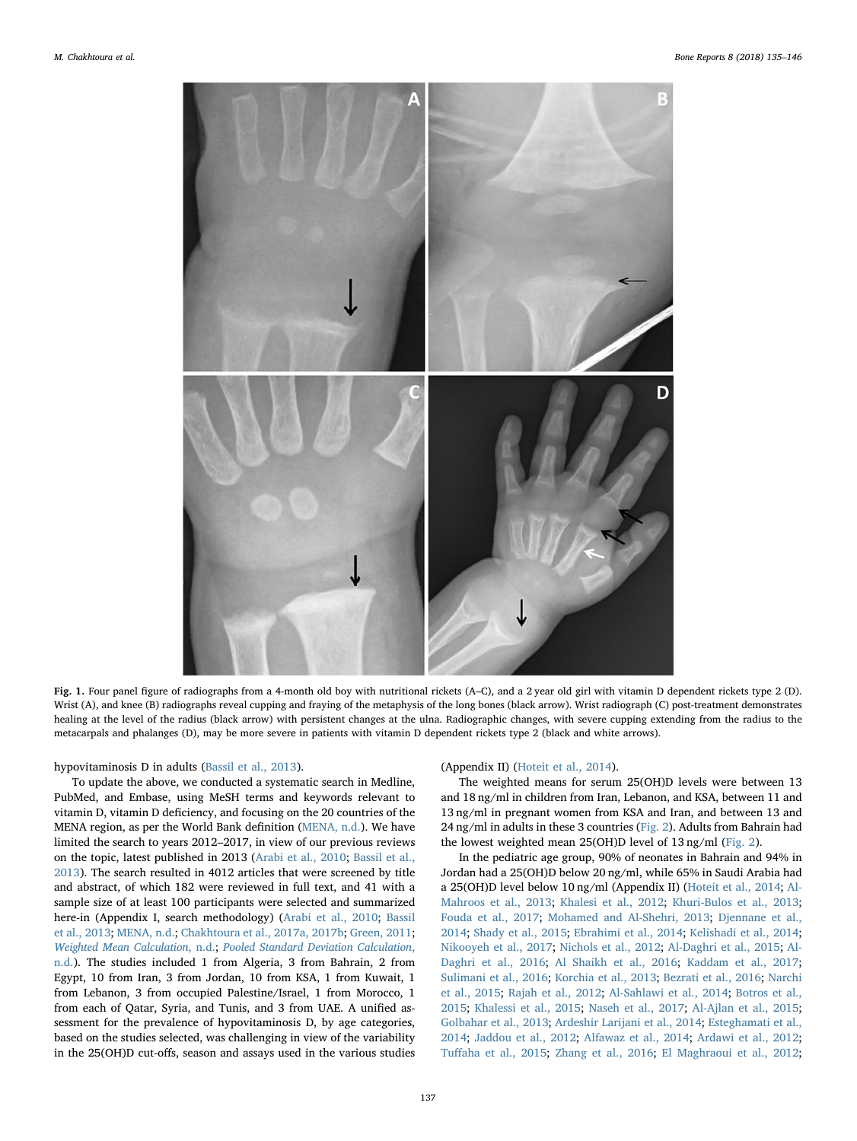<span id="page-2-0"></span>

Fig. 1. Four panel figure of radiographs from a 4-month old boy with nutritional rickets (A–C), and a 2 year old girl with vitamin D dependent rickets type 2 (D). Wrist (A), and knee (B) radiographs reveal cupping and fraying of the metaphysis of the long bones (black arrow). Wrist radiograph (C) post-treatment demonstrates healing at the level of the radius (black arrow) with persistent changes at the ulna. Radiographic changes, with severe cupping extending from the radius to the metacarpals and phalanges (D), may be more severe in patients with vitamin D dependent rickets type 2 (black and white arrows).

# hypovitaminosis D in adults ([Bassil et al., 2013](#page-9-9)).

To update the above, we conducted a systematic search in Medline, PubMed, and Embase, using MeSH terms and keywords relevant to vitamin D, vitamin D deficiency, and focusing on the 20 countries of the MENA region, as per the World Bank definition [\(MENA, n.d.\)](#page-10-7). We have limited the search to years 2012–2017, in view of our previous reviews on the topic, latest published in 2013 ([Arabi et al., 2010;](#page-9-8) [Bassil et al.,](#page-9-9) [2013\)](#page-9-9). The search resulted in 4012 articles that were screened by title and abstract, of which 182 were reviewed in full text, and 41 with a sample size of at least 100 participants were selected and summarized here-in (Appendix I, search methodology) [\(Arabi et al., 2010;](#page-9-8) [Bassil](#page-9-9) [et al., 2013;](#page-9-9) [MENA, n.d.;](#page-10-7) [Chakhtoura et al., 2017a, 2017b](#page-9-13); [Green, 2011](#page-9-14); [Weighted Mean Calculation](#page-11-4), n.d.; [Pooled Standard Deviation Calculation](#page-10-8), [n.d.](#page-10-8)). The studies included 1 from Algeria, 3 from Bahrain, 2 from Egypt, 10 from Iran, 3 from Jordan, 10 from KSA, 1 from Kuwait, 1 from Lebanon, 3 from occupied Palestine/Israel, 1 from Morocco, 1 from each of Qatar, Syria, and Tunis, and 3 from UAE. A unified assessment for the prevalence of hypovitaminosis D, by age categories, based on the studies selected, was challenging in view of the variability in the 25(OH)D cut-offs, season and assays used in the various studies

### (Appendix II) ([Hoteit et al., 2014](#page-9-10)).

The weighted means for serum 25(OH)D levels were between 13 and 18 ng/ml in children from Iran, Lebanon, and KSA, between 11 and 13 ng/ml in pregnant women from KSA and Iran, and between 13 and 24 ng/ml in adults in these 3 countries [\(Fig. 2\)](#page-3-0). Adults from Bahrain had the lowest weighted mean 25(OH)D level of 13 ng/ml ([Fig. 2](#page-3-0)).

In the pediatric age group, 90% of neonates in Bahrain and 94% in Jordan had a 25(OH)D below 20 ng/ml, while 65% in Saudi Arabia had a 25(OH)D level below 10 ng/ml (Appendix II) [\(Hoteit et al., 2014;](#page-9-10) [Al-](#page-8-1)[Mahroos et al., 2013;](#page-8-1) [Khalesi et al., 2012;](#page-10-10) [Khuri-Bulos et al., 2013](#page-10-11); [Fouda et al., 2017;](#page-9-15) [Mohamed and Al-Shehri, 2013](#page-10-12); [Djennane et al.,](#page-9-16) [2014;](#page-9-16) [Shady et al., 2015](#page-10-13); [Ebrahimi et al., 2014;](#page-9-17) [Kelishadi et al., 2014](#page-10-14); [Nikooyeh et al., 2017](#page-10-15); [Nichols et al., 2012](#page-10-16); [Al-Daghri et al., 2015](#page-8-2); [Al-](#page-8-3)[Daghri et al., 2016](#page-8-3); [Al Shaikh et al., 2016](#page-8-4); [Kaddam et al., 2017](#page-10-17); Sulimani [et al., 2016](#page-10-18); [Korchia et al., 2013](#page-10-19); [Bezrati et al., 2016](#page-9-18); [Narchi](#page-10-20) [et al., 2015](#page-10-20); [Rajah et al., 2012](#page-10-21); [Al-Sahlawi et al., 2014](#page-8-5); [Botros et al.,](#page-9-19) [2015;](#page-9-19) [Khalessi et al., 2015;](#page-10-22) [Naseh et al., 2017;](#page-10-23) [Al-Ajlan et al., 2015](#page-8-6); [Golbahar et al., 2013](#page-9-20); [Ardeshir Larijani et al., 2014;](#page-9-21) [Esteghamati et al.,](#page-9-22) [2014;](#page-9-22) [Jaddou et al., 2012;](#page-9-23) [Alfawaz et al., 2014](#page-8-7); [Ardawi et al., 2012](#page-9-24); Tuff[aha et al., 2015](#page-11-5); [Zhang et al., 2016](#page-11-6); [El Maghraoui et al., 2012](#page-9-25);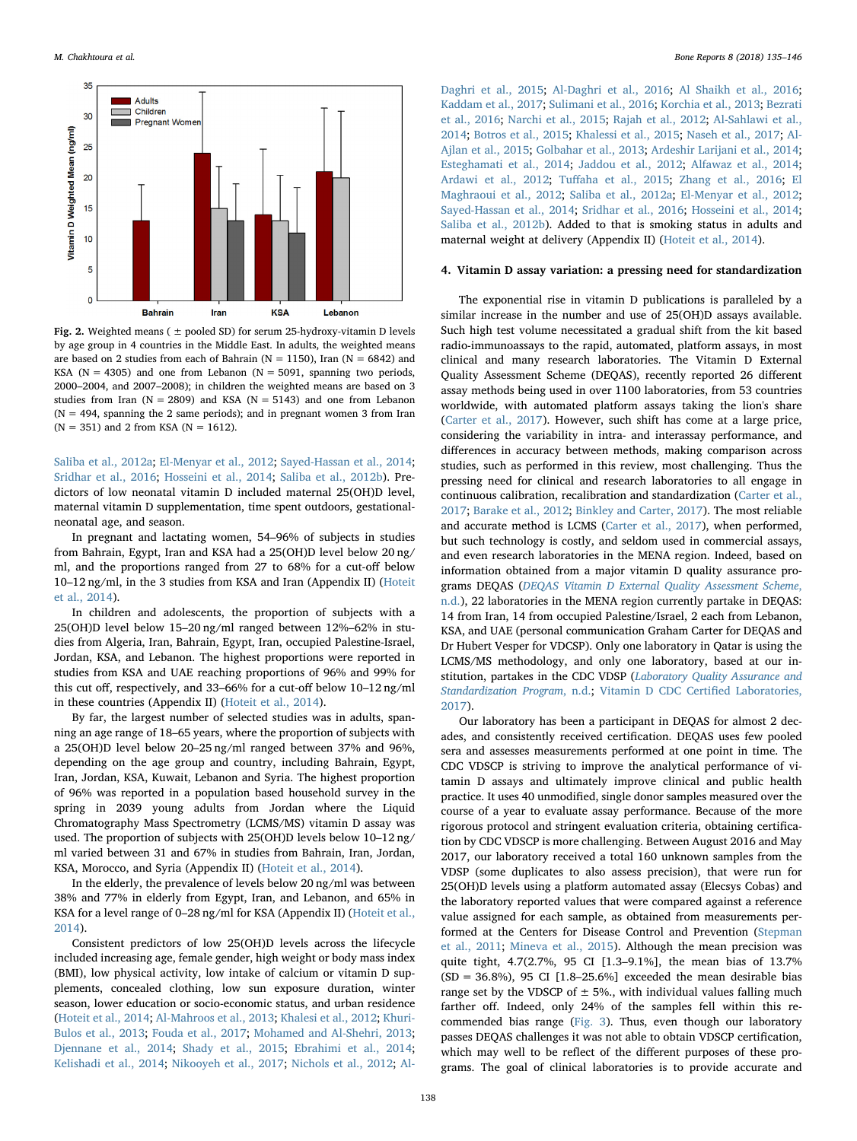<span id="page-3-0"></span>

Fig. 2. Weighted means ( $\pm$  pooled SD) for serum 25-hydroxy-vitamin D levels by age group in 4 countries in the Middle East. In adults, the weighted means are based on 2 studies from each of Bahrain ( $N = 1150$ ), Iran ( $N = 6842$ ) and KSA ( $N = 4305$ ) and one from Lebanon ( $N = 5091$ , spanning two periods, 2000–2004, and 2007–2008); in children the weighted means are based on 3 studies from Iran ( $N = 2809$ ) and KSA ( $N = 5143$ ) and one from Lebanon  $(N = 494$ , spanning the 2 same periods); and in pregnant women 3 from Iran  $(N = 351)$  and 2 from KSA  $(N = 1612)$ .

[Saliba et al., 2012a](#page-10-24); [El-Menyar et al., 2012](#page-9-26); [Sayed-Hassan et al., 2014](#page-10-25); [Sridhar et al., 2016;](#page-10-26) [Hosseini et al., 2014](#page-9-27); [Saliba et al., 2012b](#page-10-27)). Predictors of low neonatal vitamin D included maternal 25(OH)D level, maternal vitamin D supplementation, time spent outdoors, gestationalneonatal age, and season.

In pregnant and lactating women, 54–96% of subjects in studies from Bahrain, Egypt, Iran and KSA had a 25(OH)D level below 20 ng/ ml, and the proportions ranged from 27 to 68% for a cut-off below 10–12 ng/ml, in the 3 studies from KSA and Iran (Appendix II) ([Hoteit](#page-9-10) [et al., 2014](#page-9-10)).

In children and adolescents, the proportion of subjects with a 25(OH)D level below 15–20 ng/ml ranged between 12%–62% in studies from Algeria, Iran, Bahrain, Egypt, Iran, occupied Palestine-Israel, Jordan, KSA, and Lebanon. The highest proportions were reported in studies from KSA and UAE reaching proportions of 96% and 99% for this cut off, respectively, and 33–66% for a cut-off below 10–12 ng/ml in these countries (Appendix II) [\(Hoteit et al., 2014\)](#page-9-10).

By far, the largest number of selected studies was in adults, spanning an age range of 18–65 years, where the proportion of subjects with a 25(OH)D level below 20–25 ng/ml ranged between 37% and 96%, depending on the age group and country, including Bahrain, Egypt, Iran, Jordan, KSA, Kuwait, Lebanon and Syria. The highest proportion of 96% was reported in a population based household survey in the spring in 2039 young adults from Jordan where the Liquid Chromatography Mass Spectrometry (LCMS/MS) vitamin D assay was used. The proportion of subjects with 25(OH)D levels below 10–12 ng/ ml varied between 31 and 67% in studies from Bahrain, Iran, Jordan, KSA, Morocco, and Syria (Appendix II) [\(Hoteit et al., 2014\)](#page-9-10).

In the elderly, the prevalence of levels below 20 ng/ml was between 38% and 77% in elderly from Egypt, Iran, and Lebanon, and 65% in KSA for a level range of 0–28 ng/ml for KSA (Appendix II) [\(Hoteit et al.,](#page-9-10) [2014\)](#page-9-10).

Consistent predictors of low 25(OH)D levels across the lifecycle included increasing age, female gender, high weight or body mass index (BMI), low physical activity, low intake of calcium or vitamin D supplements, concealed clothing, low sun exposure duration, winter season, lower education or socio-economic status, and urban residence ([Hoteit et al., 2014](#page-9-10); [Al-Mahroos et al., 2013;](#page-8-1) [Khalesi et al., 2012](#page-10-10); [Khuri-](#page-10-11)[Bulos et al., 2013;](#page-10-11) [Fouda et al., 2017](#page-9-15); [Mohamed and Al-Shehri, 2013](#page-10-12); [Djennane et al., 2014](#page-9-16); [Shady et al., 2015;](#page-10-13) [Ebrahimi et al., 2014](#page-9-17); [Kelishadi et al., 2014](#page-10-14); Nikooyeh [et al., 2017;](#page-10-15) [Nichols et al., 2012](#page-10-16); [Al-](#page-8-2)

[Daghri et al., 2015;](#page-8-2) [Al-Daghri et al., 2016;](#page-8-3) [Al Shaikh et al., 2016](#page-8-4); [Kaddam et al., 2017](#page-10-17); [Sulimani et al., 2016;](#page-10-18) [Korchia et al., 2013;](#page-10-19) [Bezrati](#page-9-18) [et al., 2016;](#page-9-18) [Narchi et al., 2015](#page-10-20); [Rajah et al., 2012;](#page-10-21) [Al-Sahlawi et al.,](#page-8-5) [2014;](#page-8-5) [Botros et al., 2015](#page-9-19); [Khalessi et al., 2015;](#page-10-22) [Naseh et al., 2017](#page-10-23); [Al-](#page-8-6)[Ajlan et al., 2015](#page-8-6); [Golbahar et al., 2013](#page-9-20); [Ardeshir Larijani et al., 2014](#page-9-21); [Esteghamati et al., 2014](#page-9-22); [Jaddou et al., 2012;](#page-9-23) [Alfawaz et al., 2014](#page-8-7); [Ardawi et al., 2012;](#page-9-24) Tuff[aha et al., 2015](#page-11-5); [Zhang et al., 2016;](#page-11-6) [El](#page-9-25) [Maghraoui et al., 2012;](#page-9-25) [Saliba et al., 2012a;](#page-10-24) [El-Menyar et al., 2012](#page-9-26); [Sayed-Hassan et al., 2014;](#page-10-25) [Sridhar et al., 2016;](#page-10-26) [Hosseini et al., 2014](#page-9-27); [Saliba et al., 2012b\)](#page-10-27). Added to that is smoking status in adults and maternal weight at delivery (Appendix II) [\(Hoteit et al., 2014\)](#page-9-10).

### 4. Vitamin D assay variation: a pressing need for standardization

The exponential rise in vitamin D publications is paralleled by a similar increase in the number and use of 25(OH)D assays available. Such high test volume necessitated a gradual shift from the kit based radio-immunoassays to the rapid, automated, platform assays, in most clinical and many research laboratories. The Vitamin D External Quality Assessment Scheme (DEQAS), recently reported 26 different assay methods being used in over 1100 laboratories, from 53 countries worldwide, with automated platform assays taking the lion's share ([Carter et al., 2017](#page-9-28)). However, such shift has come at a large price, considering the variability in intra- and interassay performance, and differences in accuracy between methods, making comparison across studies, such as performed in this review, most challenging. Thus the pressing need for clinical and research laboratories to all engage in continuous calibration, recalibration and standardization ([Carter et al.,](#page-9-28) [2017;](#page-9-28) [Barake et al., 2012;](#page-9-29) [Binkley and Carter, 2017\)](#page-9-30). The most reliable and accurate method is LCMS [\(Carter et al., 2017\)](#page-9-28), when performed, but such technology is costly, and seldom used in commercial assays, and even research laboratories in the MENA region. Indeed, based on information obtained from a major vitamin D quality assurance programs DEQAS ([DEQAS Vitamin D External Quality Assessment Scheme](#page-9-31), [n.d.](#page-9-31)), 22 laboratories in the MENA region currently partake in DEQAS: 14 from Iran, 14 from occupied Palestine/Israel, 2 each from Lebanon, KSA, and UAE (personal communication Graham Carter for DEQAS and Dr Hubert Vesper for VDCSP). Only one laboratory in Qatar is using the LCMS/MS methodology, and only one laboratory, based at our in-stitution, partakes in the CDC VDSP ([Laboratory Quality Assurance and](#page-10-28) [Standardization Program](#page-10-28), n.d.; [Vitamin D CDC Certi](#page-11-7)fied Laboratories, [2017\)](#page-11-7).

Our laboratory has been a participant in DEQAS for almost 2 decades, and consistently received certification. DEQAS uses few pooled sera and assesses measurements performed at one point in time. The CDC VDSCP is striving to improve the analytical performance of vitamin D assays and ultimately improve clinical and public health practice. It uses 40 unmodified, single donor samples measured over the course of a year to evaluate assay performance. Because of the more rigorous protocol and stringent evaluation criteria, obtaining certification by CDC VDSCP is more challenging. Between August 2016 and May 2017, our laboratory received a total 160 unknown samples from the VDSP (some duplicates to also assess precision), that were run for 25(OH)D levels using a platform automated assay (Elecsys Cobas) and the laboratory reported values that were compared against a reference value assigned for each sample, as obtained from measurements performed at the Centers for Disease Control and Prevention [\(Stepman](#page-10-29) [et al., 2011;](#page-10-29) [Mineva et al., 2015\)](#page-10-30). Although the mean precision was quite tight, 4.7(2.7%, 95 CI [1.3–9.1%], the mean bias of 13.7%  $(SD = 36.8\%)$ , 95 CI  $[1.8-25.6\%]$  exceeded the mean desirable bias range set by the VDSCP of  $\pm$  5%., with individual values falling much farther off. Indeed, only 24% of the samples fell within this recommended bias range [\(Fig. 3](#page-4-0)). Thus, even though our laboratory passes DEQAS challenges it was not able to obtain VDSCP certification, which may well to be reflect of the different purposes of these programs. The goal of clinical laboratories is to provide accurate and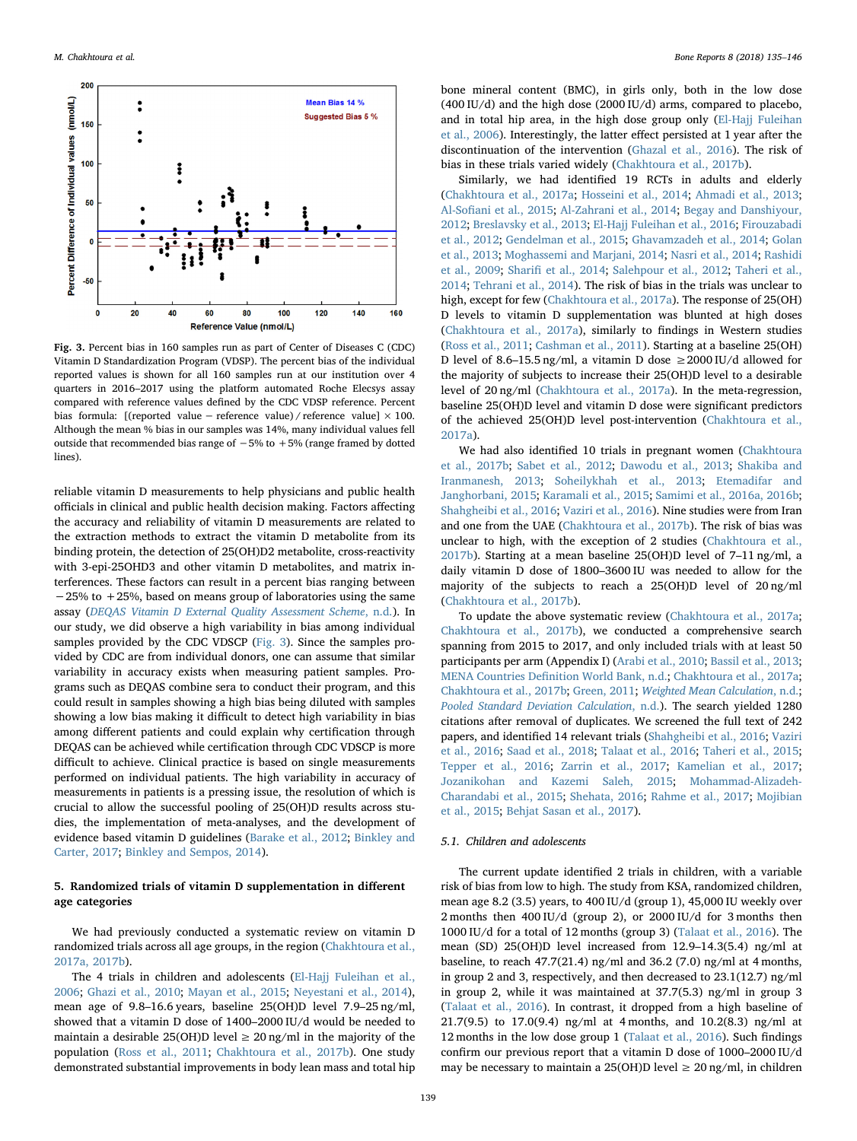<span id="page-4-0"></span>

Fig. 3. Percent bias in 160 samples run as part of Center of Diseases C (CDC) Vitamin D Standardization Program (VDSP). The percent bias of the individual reported values is shown for all 160 samples run at our institution over 4 quarters in 2016–2017 using the platform automated Roche Elecsys assay compared with reference values defined by the CDC VDSP reference. Percent bias formula: [(reported value – reference value) / reference value]  $\times$  100. Although the mean % bias in our samples was 14%, many individual values fell outside that recommended bias range of −5% to +5% (range framed by dotted lines).

reliable vitamin D measurements to help physicians and public health officials in clinical and public health decision making. Factors affecting the accuracy and reliability of vitamin D measurements are related to the extraction methods to extract the vitamin D metabolite from its binding protein, the detection of 25(OH)D2 metabolite, cross-reactivity with 3-epi-25OHD3 and other vitamin D metabolites, and matrix interferences. These factors can result in a percent bias ranging between −25% to +25%, based on means group of laboratories using the same assay ([DEQAS Vitamin D External Quality Assessment Scheme](#page-9-31), n.d.). In our study, we did observe a high variability in bias among individual samples provided by the CDC VDSCP [\(Fig. 3\)](#page-4-0). Since the samples provided by CDC are from individual donors, one can assume that similar variability in accuracy exists when measuring patient samples. Programs such as DEQAS combine sera to conduct their program, and this could result in samples showing a high bias being diluted with samples showing a low bias making it difficult to detect high variability in bias among different patients and could explain why certification through DEQAS can be achieved while certification through CDC VDSCP is more difficult to achieve. Clinical practice is based on single measurements performed on individual patients. The high variability in accuracy of measurements in patients is a pressing issue, the resolution of which is crucial to allow the successful pooling of 25(OH)D results across studies, the implementation of meta-analyses, and the development of evidence based vitamin D guidelines ([Barake et al., 2012](#page-9-29); [Binkley and](#page-9-30) [Carter, 2017](#page-9-30); [Binkley and Sempos, 2014\)](#page-9-32).

# 5. Randomized trials of vitamin D supplementation in different age categories

We had previously conducted a systematic review on vitamin D randomized trials across all age groups, in the region [\(Chakhtoura et al.,](#page-9-13) [2017a, 2017b\)](#page-9-13).

The 4 trials in children and adolescents ([El-Hajj Fuleihan et al.,](#page-9-33) [2006;](#page-9-33) [Ghazi et al., 2010;](#page-9-34) [Mayan et al., 2015](#page-10-31); [Neyestani et al., 2014](#page-10-32)), mean age of 9.8–16.6 years, baseline 25(OH)D level 7.9–25 ng/ml, showed that a vitamin D dose of 1400–2000 IU/d would be needed to maintain a desirable 25(OH)D level  $\geq$  20 ng/ml in the majority of the population [\(Ross et al., 2011;](#page-10-1) [Chakhtoura et al., 2017b\)](#page-9-35). One study demonstrated substantial improvements in body lean mass and total hip bone mineral content (BMC), in girls only, both in the low dose (400 IU/d) and the high dose (2000 IU/d) arms, compared to placebo, and in total hip area, in the high dose group only [\(El-Hajj Fuleihan](#page-9-33) [et al., 2006](#page-9-33)). Interestingly, the latter effect persisted at 1 year after the discontinuation of the intervention [\(Ghazal et al., 2016](#page-9-36)). The risk of bias in these trials varied widely [\(Chakhtoura et al., 2017b\)](#page-9-35).

Similarly, we had identified 19 RCTs in adults and elderly ([Chakhtoura et al., 2017a](#page-9-13); [Hosseini et al., 2014](#page-9-27); [Ahmadi et al., 2013](#page-8-8); Al-Sofi[ani et al., 2015;](#page-8-9) [Al-Zahrani et al., 2014;](#page-9-37) [Begay and Danshiyour,](#page-9-38) [2012;](#page-9-38) [Breslavsky et al., 2013](#page-9-39); [El-Hajj Fuleihan et al., 2016](#page-9-40); [Firouzabadi](#page-9-41) [et al., 2012](#page-9-41); [Gendelman et al., 2015;](#page-9-42) [Ghavamzadeh et al., 2014](#page-9-43); [Golan](#page-9-44) [et al., 2013](#page-9-44); [Moghassemi and Marjani, 2014;](#page-10-33) [Nasri et al., 2014;](#page-10-34) [Rashidi](#page-10-35) [et al., 2009](#page-10-35); Sharifi [et al., 2014](#page-10-36); [Salehpour et al., 2012](#page-10-37); [Taheri et al.,](#page-11-8) [2014;](#page-11-8) [Tehrani et al., 2014](#page-11-9)). The risk of bias in the trials was unclear to high, except for few ([Chakhtoura et al., 2017a](#page-9-13)). The response of 25(OH) D levels to vitamin D supplementation was blunted at high doses ([Chakhtoura et al., 2017a](#page-9-13)), similarly to findings in Western studies ([Ross et al., 2011;](#page-10-1) [Cashman et al., 2011\)](#page-9-45). Starting at a baseline 25(OH) D level of 8.6–15.5 ng/ml, a vitamin D dose  $\geq 2000$  IU/d allowed for the majority of subjects to increase their 25(OH)D level to a desirable level of 20 ng/ml [\(Chakhtoura et al., 2017a](#page-9-13)). In the meta-regression, baseline 25(OH)D level and vitamin D dose were significant predictors of the achieved 25(OH)D level post-intervention [\(Chakhtoura et al.,](#page-9-13) [2017a\)](#page-9-13).

We had also identified 10 trials in pregnant women [\(Chakhtoura](#page-9-35) [et al., 2017b;](#page-9-35) [Sabet et al., 2012](#page-10-38); [Dawodu et al., 2013](#page-9-46); [Shakiba and](#page-10-39) [Iranmanesh, 2013;](#page-10-39) [Soheilykhah et al., 2013](#page-10-40); [Etemadifar and](#page-9-47) [Janghorbani, 2015](#page-9-47); [Karamali et al., 2015;](#page-10-41) [Samimi et al., 2016a, 2016b](#page-10-42); Shahgheibi [et al., 2016](#page-10-43); [Vaziri et al., 2016](#page-11-10)). Nine studies were from Iran and one from the UAE [\(Chakhtoura et al., 2017b\)](#page-9-35). The risk of bias was unclear to high, with the exception of 2 studies [\(Chakhtoura et al.,](#page-9-35) [2017b\)](#page-9-35). Starting at a mean baseline 25(OH)D level of 7–11 ng/ml, a daily vitamin D dose of 1800–3600 IU was needed to allow for the majority of the subjects to reach a 25(OH)D level of 20 ng/ml ([Chakhtoura et al., 2017b\)](#page-9-35).

To update the above systematic review ([Chakhtoura et al., 2017a](#page-9-13); [Chakhtoura et al., 2017b](#page-9-35)), we conducted a comprehensive search spanning from 2015 to 2017, and only included trials with at least 50 participants per arm (Appendix I) [\(Arabi et al., 2010;](#page-9-8) [Bassil et al., 2013](#page-9-9); MENA Countries Defi[nition World Bank, n.d.](#page-10-7); [Chakhtoura et al., 2017a](#page-9-13); [Chakhtoura et al., 2017b](#page-9-35); [Green, 2011;](#page-9-14) [Weighted Mean Calculation](#page-11-4), n.d.; [Pooled Standard Deviation Calculation](#page-10-8), n.d.). The search yielded 1280 citations after removal of duplicates. We screened the full text of 242 papers, and identified 14 relevant trials ([Shahgheibi et al., 2016](#page-10-43); [Vaziri](#page-11-10) [et al., 2016;](#page-11-10) [Saad et al., 2018](#page-10-44); [Talaat et al., 2016;](#page-11-11) [Taheri et al., 2015](#page-11-12); [Tepper et al., 2016;](#page-11-13) [Zarrin et al., 2017](#page-11-14); [Kamelian et al., 2017](#page-10-45); [Jozanikohan and Kazemi Saleh, 2015;](#page-10-46) [Mohammad-Alizadeh-](#page-10-47)[Charandabi et al., 2015](#page-10-47); [Shehata, 2016](#page-10-48); [Rahme et al., 2017](#page-10-49); [Mojibian](#page-10-50) [et al., 2015](#page-10-50); [Behjat Sasan et al., 2017\)](#page-9-48).

# 5.1. Children and adolescents

The current update identified 2 trials in children, with a variable risk of bias from low to high. The study from KSA, randomized children, mean age 8.2 (3.5) years, to 400 IU/d (group 1), 45,000 IU weekly over 2 months then 400 IU/d (group 2), or 2000 IU/d for 3 months then 1000 IU/d for a total of 12 months (group 3) [\(Talaat et al., 2016\)](#page-11-11). The mean (SD) 25(OH)D level increased from 12.9–14.3(5.4) ng/ml at baseline, to reach 47.7(21.4) ng/ml and 36.2 (7.0) ng/ml at 4 months, in group 2 and 3, respectively, and then decreased to 23.1(12.7) ng/ml in group 2, while it was maintained at 37.7(5.3) ng/ml in group 3 ([Talaat et al., 2016](#page-11-11)). In contrast, it dropped from a high baseline of 21.7(9.5) to 17.0(9.4) ng/ml at 4 months, and 10.2(8.3) ng/ml at 12 months in the low dose group 1 ([Talaat et al., 2016\)](#page-11-11). Such findings confirm our previous report that a vitamin D dose of 1000–2000 IU/d may be necessary to maintain a 25(OH)D level  $\geq 20$  ng/ml, in children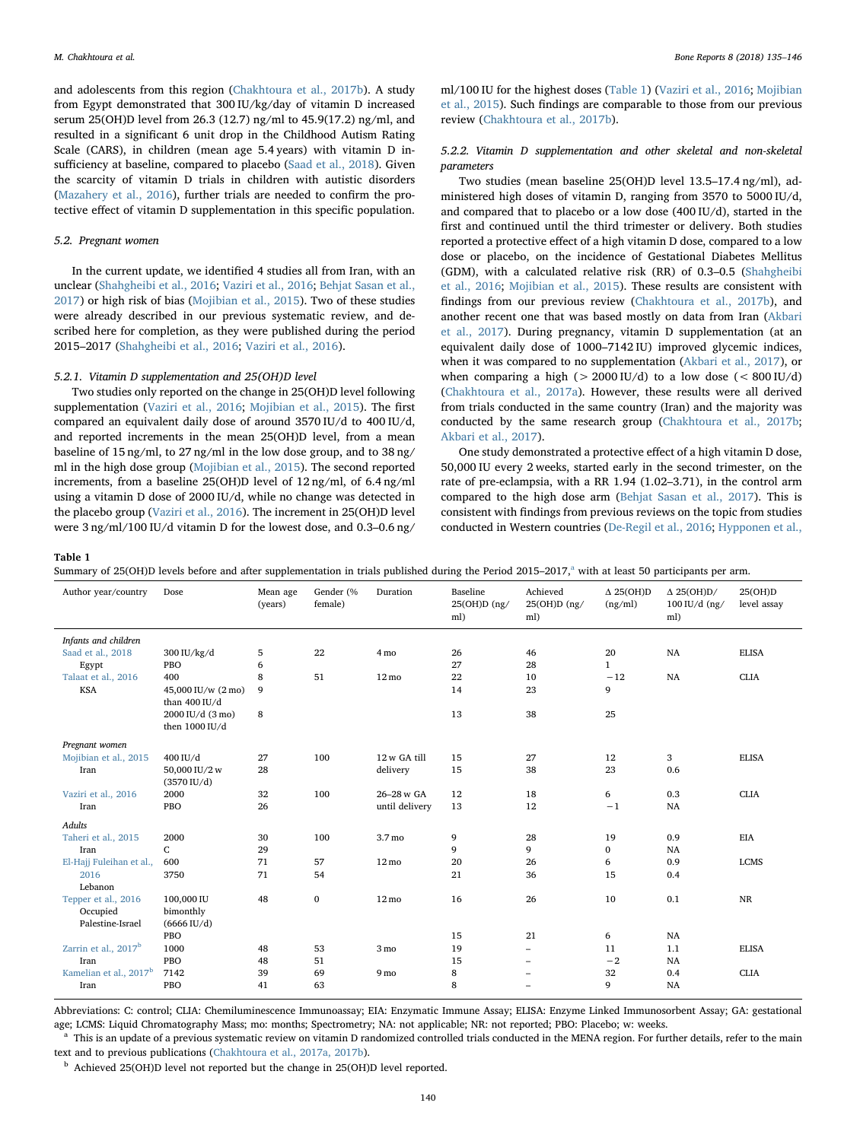and adolescents from this region [\(Chakhtoura et al., 2017b\)](#page-9-35). A study from Egypt demonstrated that 300 IU/kg/day of vitamin D increased serum 25(OH)D level from 26.3 (12.7) ng/ml to 45.9(17.2) ng/ml, and resulted in a significant 6 unit drop in the Childhood Autism Rating Scale (CARS), in children (mean age 5.4 years) with vitamin D insufficiency at baseline, compared to placebo ([Saad et al., 2018](#page-10-44)). Given the scarcity of vitamin D trials in children with autistic disorders ([Mazahery et al., 2016\)](#page-10-51), further trials are needed to confirm the protective effect of vitamin D supplementation in this specific population.

#### 5.2. Pregnant women

In the current update, we identified 4 studies all from Iran, with an unclear ([Shahgheibi et al., 2016](#page-10-43); [Vaziri et al., 2016;](#page-11-10) [Behjat Sasan et al.,](#page-9-48) [2017\)](#page-9-48) or high risk of bias ([Mojibian et al., 2015](#page-10-50)). Two of these studies were already described in our previous systematic review, and described here for completion, as they were published during the period 2015–2017 [\(Shahgheibi et al., 2016;](#page-10-43) [Vaziri et al., 2016](#page-11-10)).

#### 5.2.1. Vitamin D supplementation and 25(OH)D level

Two studies only reported on the change in 25(OH)D level following supplementation ([Vaziri et al., 2016](#page-11-10); [Mojibian et al., 2015\)](#page-10-50). The first compared an equivalent daily dose of around 3570 IU/d to 400 IU/d, and reported increments in the mean 25(OH)D level, from a mean baseline of 15 ng/ml, to 27 ng/ml in the low dose group, and to 38 ng/ ml in the high dose group ([Mojibian et al., 2015\)](#page-10-50). The second reported increments, from a baseline 25(OH)D level of 12 ng/ml, of 6.4 ng/ml using a vitamin D dose of 2000 IU/d, while no change was detected in the placebo group ([Vaziri et al., 2016](#page-11-10)). The increment in 25(OH)D level were 3 ng/ml/100 IU/d vitamin D for the lowest dose, and 0.3–0.6 ng/ ml/100 IU for the highest doses [\(Table 1\)](#page-5-0) [\(Vaziri et al., 2016;](#page-11-10) [Mojibian](#page-10-50) [et al., 2015](#page-10-50)). Such findings are comparable to those from our previous review [\(Chakhtoura et al., 2017b](#page-9-35)).

# 5.2.2. Vitamin D supplementation and other skeletal and non-skeletal parameters

Two studies (mean baseline 25(OH)D level 13.5–17.4 ng/ml), administered high doses of vitamin D, ranging from 3570 to 5000 IU/d, and compared that to placebo or a low dose (400 IU/d), started in the first and continued until the third trimester or delivery. Both studies reported a protective effect of a high vitamin D dose, compared to a low dose or placebo, on the incidence of Gestational Diabetes Mellitus (GDM), with a calculated relative risk (RR) of 0.3–0.5 [\(Shahgheibi](#page-10-43) [et al., 2016;](#page-10-43) Mojibian [et al., 2015\)](#page-10-50). These results are consistent with findings from our previous review ([Chakhtoura et al., 2017b](#page-9-35)), and another recent one that was based mostly on data from Iran [\(Akbari](#page-8-10) [et al., 2017](#page-8-10)). During pregnancy, vitamin D supplementation (at an equivalent daily dose of 1000–7142 IU) improved glycemic indices, when it was compared to no supplementation [\(Akbari et al., 2017](#page-8-10)), or when comparing a high ( $> 2000$  IU/d) to a low dose ( $< 800$  IU/d) ([Chakhtoura et al., 2017a\)](#page-9-13). However, these results were all derived from trials conducted in the same country (Iran) and the majority was conducted by the same research group ([Chakhtoura et al., 2017b](#page-9-35); [Akbari et al., 2017\)](#page-8-10).

One study demonstrated a protective effect of a high vitamin D dose, 50,000 IU every 2 weeks, started early in the second trimester, on the rate of pre-eclampsia, with a RR 1.94 (1.02–3.71), in the control arm compared to the high dose arm [\(Behjat Sasan et al., 2017](#page-9-48)). This is consistent with findings from previous reviews on the topic from studies conducted in Western countries ([De-Regil et al., 2016;](#page-9-49) [Hypponen et al.,](#page-9-50)

#### <span id="page-5-0"></span>Table 1

|  |  | Summary of 25(OH)D levels before and after supplementation in trials published during the Period 2015-2017, <sup>a</sup> with at least 50 participants per arm. |
|--|--|-----------------------------------------------------------------------------------------------------------------------------------------------------------------|
|--|--|-----------------------------------------------------------------------------------------------------------------------------------------------------------------|

| Author year/country                | Dose                                  | Mean age<br>(years) | Gender (%<br>female) | Duration        | Baseline<br>25(OH)D (ng/<br>ml) | Achieved<br>$25(OH)D$ (ng/<br>ml) | $\Delta$ 25(OH)D<br>(ng/ml) | $\Delta$ 25(OH)D/<br>$100$ IU/d $(ng/$<br>ml) | 25(OH)D<br>level assay |
|------------------------------------|---------------------------------------|---------------------|----------------------|-----------------|---------------------------------|-----------------------------------|-----------------------------|-----------------------------------------------|------------------------|
| Infants and children               |                                       |                     |                      |                 |                                 |                                   |                             |                                               |                        |
| Saad et al., 2018                  | $300$ IU/kg/d                         | 5                   | 22                   | 4 mo            | 26                              | 46                                | 20                          | NA                                            | <b>ELISA</b>           |
| Egypt                              | PBO                                   | 6                   |                      |                 | 27                              | 28                                | $\mathbf{1}$                |                                               |                        |
| Talaat et al., 2016                | 400                                   | 8                   | 51                   | $12 \text{ mo}$ | 22                              | 10                                | $-12$                       | NA                                            | <b>CLIA</b>            |
| <b>KSA</b>                         | 45,000 IU/w (2 mo)<br>than $400$ IU/d | 9                   |                      |                 | 14                              | 23                                | 9                           |                                               |                        |
|                                    | 2000 IU/d (3 mo)<br>then 1000 IU/d    | 8                   |                      |                 | 13                              | 38                                | 25                          |                                               |                        |
| Pregnant women                     |                                       |                     |                      |                 |                                 |                                   |                             |                                               |                        |
| Mojibian et al., 2015              | 400 IU/d                              | 27                  | 100                  | 12w GA till     | 15                              | 27                                | 12                          | 3                                             | <b>ELISA</b>           |
| Iran                               | 50,000 IU/2 w                         | 28                  |                      | delivery        | 15                              | 38                                | 23                          | 0.6                                           |                        |
|                                    | $(3570 \text{ IU}/d)$                 |                     |                      |                 |                                 |                                   |                             |                                               |                        |
| Vaziri et al., 2016                | 2000                                  | 32                  | 100                  | 26-28 w GA      | 12                              | 18                                | 6                           | 0.3                                           | <b>CLIA</b>            |
| Iran                               | PBO                                   | 26                  |                      | until delivery  | 13                              | 12                                | $-1$                        | NA                                            |                        |
| <b>Adults</b>                      |                                       |                     |                      |                 |                                 |                                   |                             |                                               |                        |
| Taheri et al., 2015                | 2000                                  | 30                  | 100                  | 3.7 mo          | 9                               | 28                                | 19                          | 0.9                                           | EIA                    |
| Iran                               | C                                     | 29                  |                      |                 | 9                               | 9                                 | $\bf{0}$                    | NA                                            |                        |
| El-Hajj Fuleihan et al.,           | 600                                   | 71                  | 57                   | $12 \text{ mo}$ | 20                              | 26                                | 6                           | 0.9                                           | <b>LCMS</b>            |
| 2016                               | 3750                                  | 71                  | 54                   |                 | 21                              | 36                                | 15                          | 0.4                                           |                        |
| Lebanon                            |                                       |                     |                      |                 |                                 |                                   |                             |                                               |                        |
| Tepper et al., 2016                | 100,000 IU                            | 48                  | $\bf{0}$             | $12 \text{ mo}$ | 16                              | 26                                | 10                          | 0.1                                           | NR                     |
| Occupied                           | bimonthly                             |                     |                      |                 |                                 |                                   |                             |                                               |                        |
| Palestine-Israel                   | $(6666 \text{ IU}/d)$                 |                     |                      |                 |                                 |                                   |                             |                                               |                        |
|                                    | PBO                                   |                     |                      |                 | 15                              | 21                                | 6                           | NA                                            |                        |
| Zarrin et al., 2017 <sup>b</sup>   | 1000                                  | 48                  | 53                   | 3 mo            | 19                              | -                                 | 11                          | 1.1                                           | <b>ELISA</b>           |
| Iran                               | PBO                                   | 48                  | 51                   |                 | 15                              | -                                 | $-2$                        | NA                                            |                        |
| Kamelian et al., 2017 <sup>b</sup> | 7142                                  | 39                  | 69                   | 9 mo            | 8                               | -                                 | $32\,$                      | 0.4                                           | <b>CLIA</b>            |
| Iran                               | PBO                                   | 41                  | 63                   |                 | 8                               |                                   | 9                           | NA                                            |                        |

Abbreviations: C: control; CLIA: Chemiluminescence Immunoassay; EIA: Enzymatic Immune Assay; ELISA: Enzyme Linked Immunosorbent Assay; GA: gestational age; LCMS: Liquid Chromatography Mass; mo: months; Spectrometry; NA: not applicable; NR: not reported; PBO: Placebo; w: weeks.

<span id="page-5-1"></span><sup>a</sup> This is an update of a previous systematic review on vitamin D randomized controlled trials conducted in the MENA region. For further details, refer to the main text and to previous publications [\(Chakhtoura et al., 2017a, 2017b\)](#page-9-13).

<span id="page-5-2"></span><sup>b</sup> Achieved 25(OH)D level not reported but the change in 25(OH)D level reported.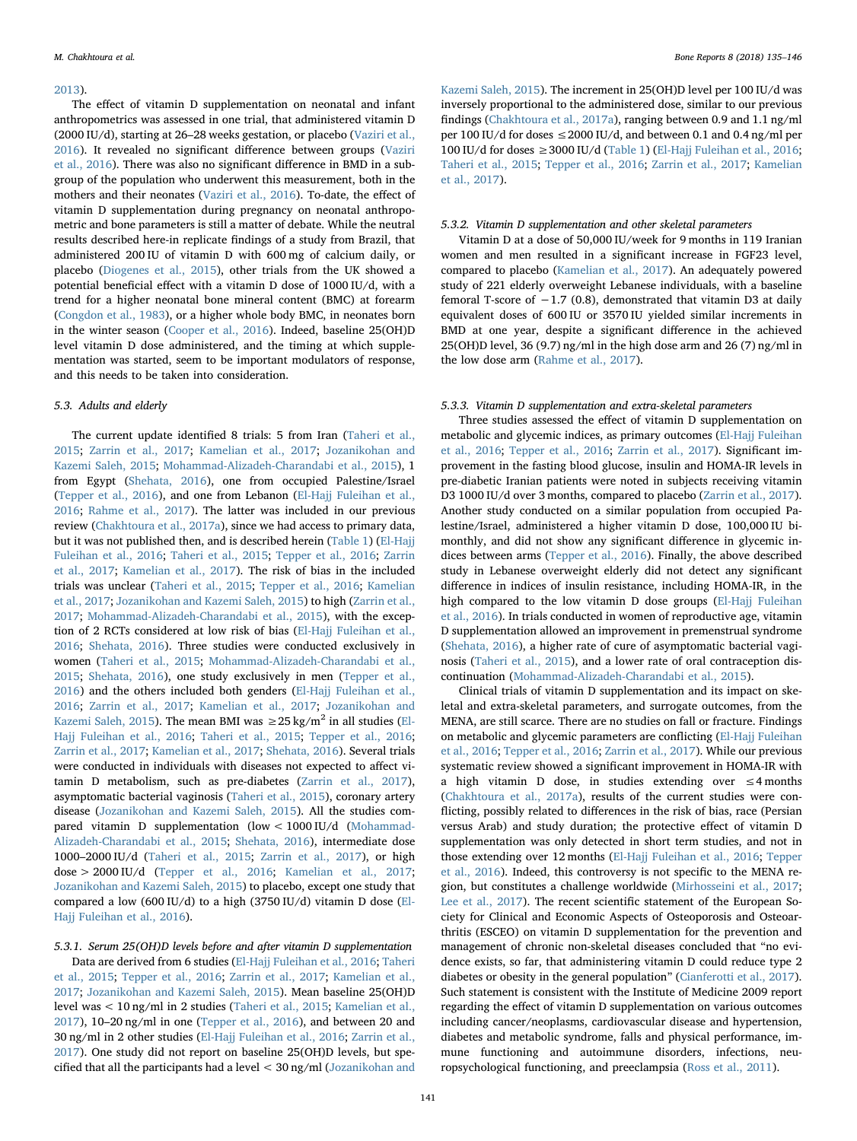#### [2013\)](#page-9-50).

The effect of vitamin D supplementation on neonatal and infant anthropometrics was assessed in one trial, that administered vitamin D (2000 IU/d), starting at 26–28 weeks gestation, or placebo [\(Vaziri et al.,](#page-11-10) [2016\)](#page-11-10). It revealed no significant difference between groups ([Vaziri](#page-11-10) [et al., 2016\)](#page-11-10). There was also no significant difference in BMD in a subgroup of the population who underwent this measurement, both in the mothers and their neonates [\(Vaziri et al., 2016\)](#page-11-10). To-date, the effect of vitamin D supplementation during pregnancy on neonatal anthropometric and bone parameters is still a matter of debate. While the neutral results described here-in replicate findings of a study from Brazil, that administered 200 IU of vitamin D with 600 mg of calcium daily, or placebo ([Diogenes et al., 2015\)](#page-9-51), other trials from the UK showed a potential beneficial effect with a vitamin D dose of 1000 IU/d, with a trend for a higher neonatal bone mineral content (BMC) at forearm ([Congdon et al., 1983\)](#page-9-52), or a higher whole body BMC, in neonates born in the winter season [\(Cooper et al., 2016\)](#page-9-53). Indeed, baseline 25(OH)D level vitamin D dose administered, and the timing at which supplementation was started, seem to be important modulators of response, and this needs to be taken into consideration.

#### 5.3. Adults and elderly

The current update identified 8 trials: 5 from Iran [\(Taheri et al.,](#page-11-12) [2015;](#page-11-12) [Zarrin et al., 2017](#page-11-14); [Kamelian et al., 2017](#page-10-45); [Jozanikohan and](#page-10-46) [Kazemi Saleh, 2015](#page-10-46); [Mohammad-Alizadeh-Charandabi et al., 2015](#page-10-47)), 1 from Egypt ([Shehata, 2016\)](#page-10-48), one from occupied Palestine/Israel ([Tepper et al., 2016](#page-11-13)), and one from Lebanon ([El-Hajj Fuleihan et al.,](#page-9-40) [2016;](#page-9-40) [Rahme et al., 2017](#page-10-49)). The latter was included in our previous review ([Chakhtoura et al., 2017a](#page-9-13)), since we had access to primary data, but it was not published then, and is described herein [\(Table 1](#page-5-0)) [\(El-Hajj](#page-9-40) [Fuleihan et al., 2016](#page-9-40); [Taheri et al., 2015](#page-11-12); [Tepper et al., 2016](#page-11-13); [Zarrin](#page-11-14) [et al., 2017;](#page-11-14) [Kamelian et al., 2017](#page-10-45)). The risk of bias in the included trials was unclear ([Taheri et al., 2015](#page-11-12); [Tepper et al., 2016](#page-11-13); [Kamelian](#page-10-45) et [al., 2017;](#page-10-45) [Jozanikohan and Kazemi Saleh, 2015](#page-10-46)) to high ([Zarrin et al.,](#page-11-14) [2017;](#page-11-14) [Mohammad-Alizadeh-Charandabi et al., 2015](#page-10-47)), with the exception of 2 RCTs considered at low risk of bias ([El-Hajj Fuleihan et al.,](#page-9-40) [2016;](#page-9-40) [Shehata, 2016](#page-10-48)). Three studies were conducted exclusively in women ([Taheri et al., 2015](#page-11-12); [Mohammad-Alizadeh-Charandabi et al.,](#page-10-47) [2015;](#page-10-47) [Shehata, 2016\)](#page-10-48), one study exclusively in men ([Tepper et al.,](#page-11-13) [2016\)](#page-11-13) and the others included both genders ([El-Hajj Fuleihan et al.,](#page-9-40) [2016;](#page-9-40) [Zarrin et al., 2017](#page-11-14); [Kamelian et al., 2017](#page-10-45); [Jozanikohan and](#page-10-46) [Kazemi Saleh, 2015\)](#page-10-46). The mean BMI was  $\geq$  25 kg/m<sup>2</sup> in all studies [\(El-](#page-9-40)[Hajj Fuleihan et al., 2016](#page-9-40); [Taheri et al., 2015](#page-11-12); [Tepper et al., 2016](#page-11-13); [Zarrin et al., 2017](#page-11-14); [Kamelian et al., 2017;](#page-10-45) [Shehata, 2016\)](#page-10-48). Several trials were conducted in individuals with diseases not expected to affect vitamin D metabolism, such as pre-diabetes [\(Zarrin et al., 2017](#page-11-14)), asymptomatic bacterial vaginosis [\(Taheri et al., 2015](#page-11-12)), coronary artery disease [\(Jozanikohan and Kazemi Saleh, 2015](#page-10-46)). All the studies compared vitamin D supplementation (low < 1000 IU/d [\(Mohammad-](#page-10-47)[Alizadeh-Charandabi et al., 2015;](#page-10-47) [Shehata, 2016](#page-10-48)), intermediate dose 1000–2000 IU/d [\(Taheri et al., 2015;](#page-11-12) [Zarrin et al., 2017](#page-11-14)), or high dose > 2000 IU/d [\(Tepper et al., 2016;](#page-11-13) [Kamelian et al., 2017](#page-10-45); [Jozanikohan and Kazemi Saleh, 2015](#page-10-46)) to placebo, except one study that compared a low (600 IU/d) to a high (3750 IU/d) vitamin D dose [\(El-](#page-9-40)[Hajj Fuleihan et al., 2016\)](#page-9-40).

5.3.1. Serum 25(OH)D levels before and after vitamin D supplementation Data are derived from 6 studies ([El-Hajj Fuleihan et al., 2016;](#page-9-40) [Taheri](#page-11-12) [et al., 2015](#page-11-12); [Tepper et al., 2016](#page-11-13); [Zarrin et al., 2017](#page-11-14); [Kamelian et al.,](#page-10-45) [2017;](#page-10-45) [Jozanikohan and Kazemi Saleh, 2015\)](#page-10-46). Mean baseline 25(OH)D level was < 10 ng/ml in 2 studies ([Taheri et al., 2015](#page-11-12); [Kamelian et al.,](#page-10-45) [2017\)](#page-10-45), 10–20 ng/ml in one ([Tepper et al., 2016\)](#page-11-13), and between 20 and 30 ng/ml in 2 other studies ([El-Hajj Fuleihan et al., 2016;](#page-9-40) [Zarrin et al.,](#page-11-14) [2017\)](#page-11-14). One study did not report on baseline 25(OH)D levels, but specified that all the participants had a level < 30 ng/ml [\(Jozanikohan and](#page-10-46)

[Kazemi Saleh, 2015\)](#page-10-46). The increment in 25(OH)D level per 100 IU/d was inversely proportional to the administered dose, similar to our previous findings ([Chakhtoura et al., 2017a\)](#page-9-13), ranging between 0.9 and 1.1 ng/ml per 100 IU/d for doses  $\leq$  2000 IU/d, and between 0.1 and 0.4 ng/ml per 100 IU/d for doses  $\geq$  3000 IU/d ([Table 1\)](#page-5-0) ([El-Hajj Fuleihan et al., 2016](#page-9-40); Taheri [et al., 2015;](#page-11-12) [Tepper et al., 2016;](#page-11-13) [Zarrin et al., 2017](#page-11-14); [Kamelian](#page-10-45) [et al., 2017](#page-10-45)).

# 5.3.2. Vitamin D supplementation and other skeletal parameters

Vitamin D at a dose of 50,000 IU/week for 9 months in 119 Iranian women and men resulted in a significant increase in FGF23 level, compared to placebo [\(Kamelian et al., 2017\)](#page-10-45). An adequately powered study of 221 elderly overweight Lebanese individuals, with a baseline femoral T-score of  $-1.7$  (0.8), demonstrated that vitamin D3 at daily equivalent doses of 600 IU or 3570 IU yielded similar increments in BMD at one year, despite a significant difference in the achieved 25(OH)D level, 36 (9.7) ng/ml in the high dose arm and 26 (7) ng/ml in the low dose arm [\(Rahme et al., 2017](#page-10-49)).

#### 5.3.3. Vitamin D supplementation and extra-skeletal parameters

Three studies assessed the effect of vitamin D supplementation on metabolic and glycemic indices, as primary outcomes [\(El-Hajj Fuleihan](#page-9-40) [et al., 2016;](#page-9-40) [Tepper et al., 2016;](#page-11-13) [Zarrin et al., 2017](#page-11-14)). Significant improvement in the fasting blood glucose, insulin and HOMA-IR levels in pre-diabetic Iranian patients were noted in subjects receiving vitamin D3 1000 IU/d over 3 months, compared to placebo [\(Zarrin et al., 2017](#page-11-14)). Another study conducted on a similar population from occupied Palestine/Israel, administered a higher vitamin D dose, 100,000 IU bimonthly, and did not show any significant difference in glycemic indices between arms ([Tepper et al., 2016\)](#page-11-13). Finally, the above described study in Lebanese overweight elderly did not detect any significant difference in indices of insulin resistance, including HOMA-IR, in the high compared to the low vitamin D dose groups ([El-Hajj Fuleihan](#page-9-40) [et al., 2016](#page-9-40)). In trials conducted in women of reproductive age, vitamin D supplementation allowed an improvement in premenstrual syndrome ([Shehata, 2016\)](#page-10-48), a higher rate of cure of asymptomatic bacterial vaginosis [\(Taheri et al., 2015\)](#page-11-12), and a lower rate of oral contraception discontinuation [\(Mohammad-Alizadeh-Charandabi et al., 2015](#page-10-47)).

Clinical trials of vitamin D supplementation and its impact on skeletal and extra-skeletal parameters, and surrogate outcomes, from the MENA, are still scarce. There are no studies on fall or fracture. Findings on metabolic and glycemic parameters are conflicting ([El-Hajj Fuleihan](#page-9-40) [et al., 2016;](#page-9-40) [Tepper et al., 2016](#page-11-13); [Zarrin et al., 2017\)](#page-11-14). While our previous systematic review showed a significant improvement in HOMA-IR with a high vitamin D dose, in studies extending over ≤4 months (Chakhtoura [et al., 2017a\)](#page-9-13), results of the current studies were conflicting, possibly related to differences in the risk of bias, race (Persian versus Arab) and study duration; the protective effect of vitamin D supplementation was only detected in short term studies, and not in those extending over 12 months [\(El-Hajj Fuleihan et al., 2016;](#page-9-40) [Tepper](#page-11-13) [et al., 2016](#page-11-13)). Indeed, this controversy is not specific to the MENA region, but constitutes a challenge worldwide ([Mirhosseini et al., 2017](#page-10-52); [Lee et al., 2017](#page-10-53)). The recent scientific statement of the European Society for Clinical and Economic Aspects of Osteoporosis and Osteoarthritis (ESCEO) on vitamin D supplementation for the prevention and management of chronic non-skeletal diseases concluded that "no evidence exists, so far, that administering vitamin D could reduce type 2 diabetes or obesity in the general population" ([Cianferotti et al., 2017](#page-9-54)). Such statement is consistent with the Institute of Medicine 2009 report regarding the effect of vitamin D supplementation on various outcomes including cancer/neoplasms, cardiovascular disease and hypertension, diabetes and metabolic syndrome, falls and physical performance, immune functioning and autoimmune disorders, infections, neuropsychological functioning, and preeclampsia ([Ross et al., 2011\)](#page-10-1).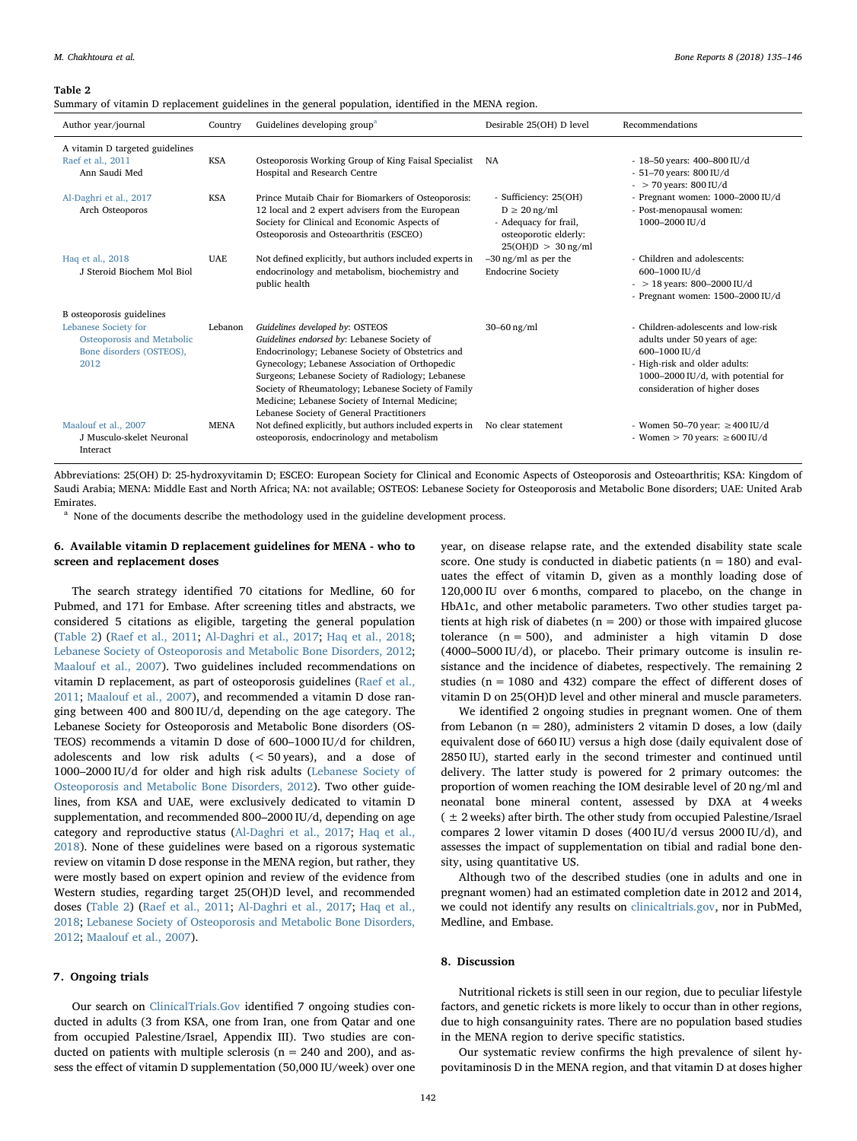#### <span id="page-7-0"></span>Table 2

Summary of vitamin D replacement guidelines in the general population, identified in the MENA region.

| Author year/journal                                                                    | Country     | Guidelines developing group <sup>a</sup>                                                                                                                                                                                                                                                                                                                                                           | Desirable 25(OH) D level                                                                                             | Recommendations                                                                                                                                                                               |
|----------------------------------------------------------------------------------------|-------------|----------------------------------------------------------------------------------------------------------------------------------------------------------------------------------------------------------------------------------------------------------------------------------------------------------------------------------------------------------------------------------------------------|----------------------------------------------------------------------------------------------------------------------|-----------------------------------------------------------------------------------------------------------------------------------------------------------------------------------------------|
| A vitamin D targeted guidelines<br>Raef et al., 2011<br>Ann Saudi Med                  | <b>KSA</b>  | Osteoporosis Working Group of King Faisal Specialist<br>Hospital and Research Centre                                                                                                                                                                                                                                                                                                               | NA                                                                                                                   | - 18-50 years: 400-800 IU/d<br>$-51-70$ years: 800 IU/d<br>$-$ > 70 years: 800 IU/d                                                                                                           |
| Al-Daghri et al., 2017<br>Arch Osteoporos                                              | <b>KSA</b>  | Prince Mutaib Chair for Biomarkers of Osteoporosis:<br>12 local and 2 expert advisers from the European<br>Society for Clinical and Economic Aspects of<br>Osteoporosis and Osteoarthritis (ESCEO)                                                                                                                                                                                                 | - Sufficiency: 25(OH)<br>$D \geq 20$ ng/ml<br>- Adequacy for frail,<br>osteoporotic elderly:<br>$25(OH)D > 30$ ng/ml | - Pregnant women: $1000-2000$ IU/d<br>- Post-menopausal women:<br>1000-2000 IU/d                                                                                                              |
| Haq et al., 2018<br>J Steroid Biochem Mol Biol                                         | <b>UAE</b>  | Not defined explicitly, but authors included experts in<br>endocrinology and metabolism, biochemistry and<br>public health                                                                                                                                                                                                                                                                         | $-30$ ng/ml as per the<br><b>Endocrine Society</b>                                                                   | - Children and adolescents:<br>600-1000 IU/d<br>$-$ > 18 years: 800-2000 IU/d<br>- Pregnant women: $1500-2000$ IU/d                                                                           |
| B osteoporosis guidelines                                                              |             |                                                                                                                                                                                                                                                                                                                                                                                                    |                                                                                                                      |                                                                                                                                                                                               |
| Lebanese Society for<br>Osteoporosis and Metabolic<br>Bone disorders (OSTEOS),<br>2012 | Lebanon     | Guidelines developed by: OSTEOS<br>Guidelines endorsed by: Lebanese Society of<br>Endocrinology; Lebanese Society of Obstetrics and<br>Gynecology; Lebanese Association of Orthopedic<br>Surgeons; Lebanese Society of Radiology; Lebanese<br>Society of Rheumatology; Lebanese Society of Family<br>Medicine; Lebanese Society of Internal Medicine;<br>Lebanese Society of General Practitioners | $30-60$ ng/ml                                                                                                        | - Children-adolescents and low-risk<br>adults under 50 years of age:<br>600-1000 IU/d<br>- High-risk and older adults:<br>1000-2000 IU/d, with potential for<br>consideration of higher doses |
| Maalouf et al., 2007<br>J Musculo-skelet Neuronal<br>Interact                          | <b>MENA</b> | Not defined explicitly, but authors included experts in<br>osteoporosis, endocrinology and metabolism                                                                                                                                                                                                                                                                                              | No clear statement                                                                                                   | - Women 50-70 year: $\geq 400$ IU/d<br>- Women $>$ 70 years: $\geq$ 600 IU/d                                                                                                                  |

Abbreviations: 25(OH) D: 25‑hydroxyvitamin D; ESCEO: European Society for Clinical and Economic Aspects of Osteoporosis and Osteoarthritis; KSA: Kingdom of Saudi Arabia; MENA: Middle East and North Africa; NA: not available; OSTEOS: Lebanese Society for Osteoporosis and Metabolic Bone disorders; UAE: United Arab Emirates.

<span id="page-7-1"></span><sup>a</sup> None of the documents describe the methodology used in the guideline development process.

# 6. Available vitamin D replacement guidelines for MENA - who to screen and replacement doses

The search strategy identified 70 citations for Medline, 60 for Pubmed, and 171 for Embase. After screening titles and abstracts, we considered 5 citations as eligible, targeting the general population ([Table 2\)](#page-7-0) ([Raef et al., 2011](#page-10-54); [Al-Daghri et al., 2017;](#page-8-11) [Haq et al., 2018](#page-9-55); [Lebanese Society of Osteoporosis and Metabolic Bone Disorders, 2012](#page-10-55); [Maalouf et al., 2007\)](#page-10-56). Two guidelines included recommendations on vitamin D replacement, as part of osteoporosis guidelines ([Raef et al.,](#page-10-54) [2011;](#page-10-54) [Maalouf et al., 2007\)](#page-10-56), and recommended a vitamin D dose ranging between 400 and 800 IU/d, depending on the age category. The Lebanese Society for Osteoporosis and Metabolic Bone disorders (OS-TEOS) recommends a vitamin D dose of 600–1000 IU/d for children, adolescents and low risk adults (< 50 years), and a dose of 1000–2000 IU/d for older and high risk adults ([Lebanese Society of](#page-10-55) [Osteoporosis and Metabolic Bone Disorders, 2012\)](#page-10-55). Two other guidelines, from KSA and UAE, were exclusively dedicated to vitamin D supplementation, and recommended 800–2000 IU/d, depending on age category and reproductive status ([Al-Daghri et al., 2017;](#page-8-11) [Haq et al.,](#page-9-55) [2018\)](#page-9-55). None of these guidelines were based on a rigorous systematic review on vitamin D dose response in the MENA region, but rather, they were mostly based on expert opinion and review of the evidence from Western studies, regarding target 25(OH)D level, and recommended doses ([Table 2](#page-7-0)) [\(Raef et al., 2011](#page-10-54); [Al-Daghri et al., 2017;](#page-8-11) [Haq et al.,](#page-9-55) [2018;](#page-9-55) [Lebanese Society of Osteoporosis and Metabolic Bone Disorders,](#page-10-55) [2012;](#page-10-55) [Maalouf et al., 2007\)](#page-10-56).

# 7. Ongoing trials

Our search on [ClinicalTrials.Gov](http://ClinicalTrials.Gov) identified 7 ongoing studies conducted in adults (3 from KSA, one from Iran, one from Qatar and one from occupied Palestine/Israel, Appendix III). Two studies are conducted on patients with multiple sclerosis ( $n = 240$  and 200), and assess the effect of vitamin D supplementation (50,000 IU/week) over one year, on disease relapse rate, and the extended disability state scale score. One study is conducted in diabetic patients ( $n = 180$ ) and evaluates the effect of vitamin D, given as a monthly loading dose of 120,000 IU over 6 months, compared to placebo, on the change in HbA1c, and other metabolic parameters. Two other studies target patients at high risk of diabetes ( $n = 200$ ) or those with impaired glucose tolerance (n = 500), and administer a high vitamin D dose (4000–5000 IU/d), or placebo. Their primary outcome is insulin resistance and the incidence of diabetes, respectively. The remaining 2 studies (n = 1080 and 432) compare the effect of different doses of vitamin D on 25(OH)D level and other mineral and muscle parameters.

We identified 2 ongoing studies in pregnant women. One of them from Lebanon ( $n = 280$ ), administers 2 vitamin D doses, a low (daily equivalent dose of 660 IU) versus a high dose (daily equivalent dose of 2850 IU), started early in the second trimester and continued until delivery. The latter study is powered for 2 primary outcomes: the proportion of women reaching the IOM desirable level of 20 ng/ml and neonatal bone mineral content, assessed by DXA at 4 weeks  $($   $±$  2 weeks) after birth. The other study from occupied Palestine/Israel compares 2 lower vitamin D doses (400 IU/d versus 2000 IU/d), and assesses the impact of supplementation on tibial and radial bone density, using quantitative US.

Although two of the described studies (one in adults and one in pregnant women) had an estimated completion date in 2012 and 2014, we could not identify any results on [clinicaltrials.gov](http://clinicaltrials.gov), nor in PubMed, Medline, and Embase.

# 8. Discussion

Nutritional rickets is still seen in our region, due to peculiar lifestyle factors, and genetic rickets is more likely to occur than in other regions, due to high consanguinity rates. There are no population based studies in the MENA region to derive specific statistics.

Our systematic review confirms the high prevalence of silent hypovitaminosis D in the MENA region, and that vitamin D at doses higher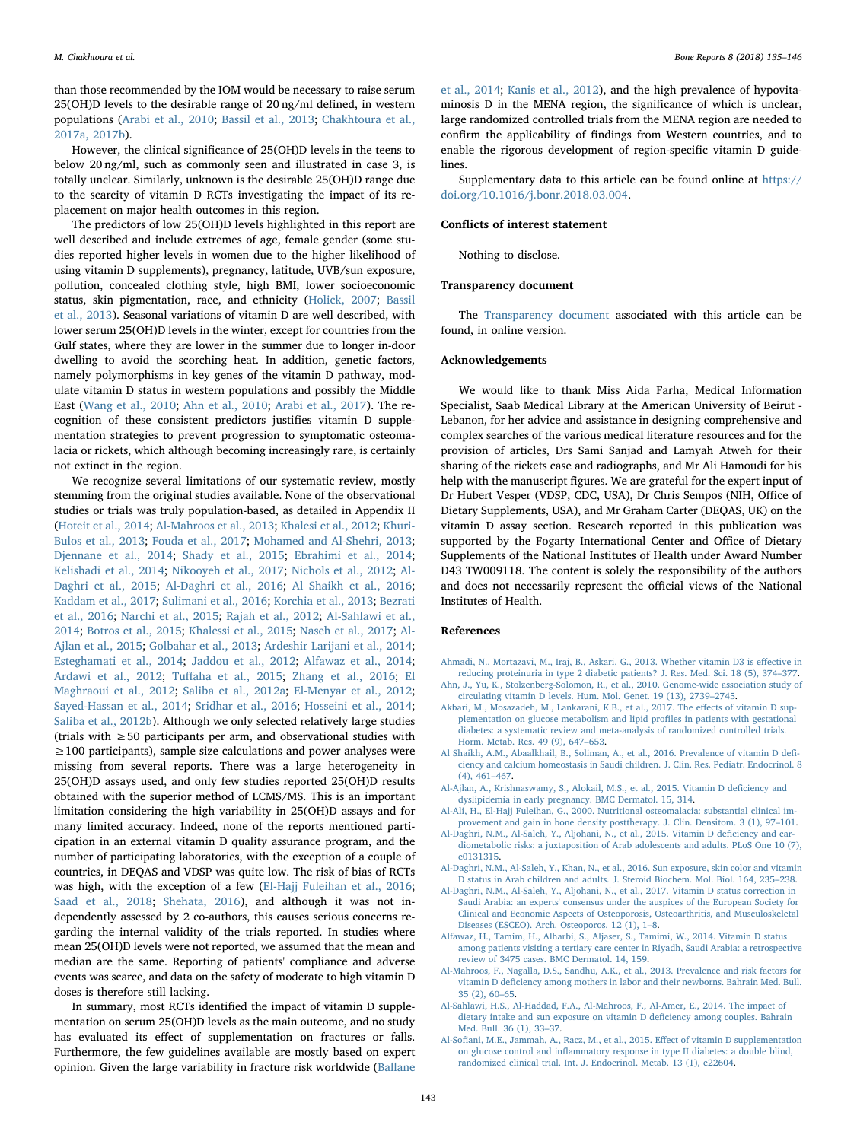than those recommended by the IOM would be necessary to raise serum 25(OH)D levels to the desirable range of 20 ng/ml defined, in western populations ([Arabi et al., 2010;](#page-9-8) [Bassil et al., 2013;](#page-9-9) [Chakhtoura et al.,](#page-9-13) [2017a, 2017b\)](#page-9-13).

However, the clinical significance of 25(OH)D levels in the teens to below 20 ng/ml, such as commonly seen and illustrated in case 3, is totally unclear. Similarly, unknown is the desirable 25(OH)D range due to the scarcity of vitamin D RCTs investigating the impact of its replacement on major health outcomes in this region.

The predictors of low 25(OH)D levels highlighted in this report are well described and include extremes of age, female gender (some studies reported higher levels in women due to the higher likelihood of using vitamin D supplements), pregnancy, latitude, UVB/sun exposure, pollution, concealed clothing style, high BMI, lower socioeconomic status, skin pigmentation, race, and ethnicity [\(Holick, 2007](#page-9-0); [Bassil](#page-9-9) [et al., 2013](#page-9-9)). Seasonal variations of vitamin D are well described, with lower serum 25(OH)D levels in the winter, except for countries from the Gulf states, where they are lower in the summer due to longer in-door dwelling to avoid the scorching heat. In addition, genetic factors, namely polymorphisms in key genes of the vitamin D pathway, modulate vitamin D status in western populations and possibly the Middle East [\(Wang et al., 2010](#page-11-15); [Ahn et al., 2010](#page-8-12); [Arabi et al., 2017\)](#page-9-56). The recognition of these consistent predictors justifies vitamin D supplementation strategies to prevent progression to symptomatic osteomalacia or rickets, which although becoming increasingly rare, is certainly not extinct in the region.

We recognize several limitations of our systematic review, mostly stemming from the original studies available. None of the observational studies or trials was truly population-based, as detailed in Appendix II ([Hoteit et al., 2014](#page-9-10); [Al-Mahroos et al., 2013;](#page-8-1) [Khalesi et al., 2012](#page-10-10); [Khuri-](#page-10-11)[Bulos et al., 2013;](#page-10-11) [Fouda et al., 2017](#page-9-15); [Mohamed and Al-Shehri, 2013](#page-10-12); [Djennane et al., 2014](#page-9-16); [Shady et al., 2015;](#page-10-13) [Ebrahimi et al., 2014](#page-9-17); [Kelishadi et al., 2014](#page-10-14); [Nikooyeh et al., 2017;](#page-10-15) [Nichols et al., 2012](#page-10-16); [Al-](#page-8-2)[Daghri et al., 2015](#page-8-2); [Al-Daghri et al., 2016;](#page-8-3) [Al Shaikh et al., 2016](#page-8-4); [Kaddam et al., 2017](#page-10-17); [Sulimani et al., 2016](#page-10-18); [Korchia et al., 2013;](#page-10-19) [Bezrati](#page-9-18) [et al., 2016;](#page-9-18) [Narchi et al., 2015](#page-10-20); [Rajah et al., 2012;](#page-10-21) [Al-Sahlawi et al.,](#page-8-5) [2014;](#page-8-5) [Botros et al., 2015](#page-9-19); Khalessi [et al., 2015;](#page-10-22) [Naseh et al., 2017](#page-10-23); [Al-](#page-8-6)[Ajlan et al., 2015](#page-8-6); [Golbahar et al., 2013](#page-9-20); [Ardeshir Larijani et al., 2014](#page-9-21); [Esteghamati et al., 2014](#page-9-22); [Jaddou et al., 2012;](#page-9-23) [Alfawaz et al., 2014](#page-8-7); [Ardawi et al., 2012;](#page-9-24) Tuff[aha et al., 2015](#page-11-5); [Zhang et al., 2016;](#page-11-6) [El](#page-9-25) [Maghraoui et al., 2012;](#page-9-25) [Saliba et al., 2012a;](#page-10-24) [El-Menyar et al., 2012](#page-9-26); [Sayed-Hassan et al., 2014;](#page-10-25) [Sridhar et al., 2016;](#page-10-26) [Hosseini et al., 2014](#page-9-27); [Saliba et al., 2012b\)](#page-10-27). Although we only selected relatively large studies (trials with ≥50 participants per arm, and observational studies with ≥100 participants), sample size calculations and power analyses were missing from several reports. There was a large heterogeneity in 25(OH)D assays used, and only few studies reported 25(OH)D results obtained with the superior method of LCMS/MS. This is an important limitation considering the high variability in 25(OH)D assays and for many limited accuracy. Indeed, none of the reports mentioned participation in an external vitamin D quality assurance program, and the number of participating laboratories, with the exception of a couple of countries, in DEQAS and VDSP was quite low. The risk of bias of RCTs was high, with the exception of a few [\(El-Hajj Fuleihan et al., 2016](#page-9-40); [Saad et al., 2018;](#page-10-44) [Shehata, 2016](#page-10-48)), and although it was not independently assessed by 2 co-authors, this causes serious concerns regarding the internal validity of the trials reported. In studies where mean 25(OH)D levels were not reported, we assumed that the mean and median are the same. Reporting of patients' compliance and adverse events was scarce, and data on the safety of moderate to high vitamin D doses is therefore still lacking.

In summary, most RCTs identified the impact of vitamin D supplementation on serum 25(OH)D levels as the main outcome, and no study has evaluated its effect of supplementation on fractures or falls. Furthermore, the few guidelines available are mostly based on expert opinion. Given the large variability in fracture risk worldwide ([Ballane](#page-9-57)

[et al., 2014;](#page-9-57) [Kanis et al., 2012](#page-10-57)), and the high prevalence of hypovitaminosis D in the MENA region, the significance of which is unclear, large randomized controlled trials from the MENA region are needed to confirm the applicability of findings from Western countries, and to enable the rigorous development of region-specific vitamin D guidelines.

Supplementary data to this article can be found online at [https://](https://doi.org/10.1016/j.bonr.2018.03.004) [doi.org/10.1016/j.bonr.2018.03.004.](https://doi.org/10.1016/j.bonr.2018.03.004)

# Conflicts of interest statement

Nothing to disclose.

### Transparency document

The [Transparency document](https://doi.org/10.1016/j.bonr.2018.03.004) associated with this article can be found, in online version.

#### Acknowledgements

We would like to thank Miss Aida Farha, Medical Information Specialist, Saab Medical Library at the American University of Beirut - Lebanon, for her advice and assistance in designing comprehensive and complex searches of the various medical literature resources and for the provision of articles, Drs Sami Sanjad and Lamyah Atweh for their sharing of the rickets case and radiographs, and Mr Ali Hamoudi for his help with the manuscript figures. We are grateful for the expert input of Dr Hubert Vesper (VDSP, CDC, USA), Dr Chris Sempos (NIH, Office of Dietary Supplements, USA), and Mr Graham Carter (DEQAS, UK) on the vitamin D assay section. Research reported in this publication was supported by the Fogarty International Center and Office of Dietary Supplements of the National Institutes of Health under Award Number D43 TW009118. The content is solely the responsibility of the authors and does not necessarily represent the official views of the National Institutes of Health.

#### References

- <span id="page-8-8"></span>[Ahmadi, N., Mortazavi, M., Iraj, B., Askari, G., 2013. Whether vitamin D3 is e](http://refhub.elsevier.com/S2352-1872(18)30015-9/rf0005)ffective in [reducing proteinuria in type 2 diabetic patients? J. Res. Med. Sci. 18 \(5\), 374](http://refhub.elsevier.com/S2352-1872(18)30015-9/rf0005)–377. [Ahn, J., Yu, K., Stolzenberg-Solomon, R., et al., 2010. Genome-wide association study of](http://refhub.elsevier.com/S2352-1872(18)30015-9/rf0010)
- <span id="page-8-12"></span><span id="page-8-10"></span>[circulating vitamin D levels. Hum. Mol. Genet. 19 \(13\), 2739](http://refhub.elsevier.com/S2352-1872(18)30015-9/rf0010)–2745. [Akbari, M., Mosazadeh, M., Lankarani, K.B., et al., 2017. The e](http://refhub.elsevier.com/S2352-1872(18)30015-9/rf0015)ffects of vitamin D sup[plementation on glucose metabolism and lipid pro](http://refhub.elsevier.com/S2352-1872(18)30015-9/rf0015)files in patients with gestational [diabetes: a systematic review and meta-analysis of randomized controlled trials.](http://refhub.elsevier.com/S2352-1872(18)30015-9/rf0015) [Horm. Metab. Res. 49 \(9\), 647](http://refhub.elsevier.com/S2352-1872(18)30015-9/rf0015)–653.
- <span id="page-8-4"></span>[Al Shaikh, A.M., Abaalkhail, B., Soliman, A., et al., 2016. Prevalence of vitamin D de](http://refhub.elsevier.com/S2352-1872(18)30015-9/rf0020)fi[ciency and calcium homeostasis in Saudi children. J. Clin. Res. Pediatr. Endocrinol. 8](http://refhub.elsevier.com/S2352-1872(18)30015-9/rf0020) [\(4\), 461](http://refhub.elsevier.com/S2352-1872(18)30015-9/rf0020)–467.
- <span id="page-8-6"></span>[Al-Ajlan, A., Krishnaswamy, S., Alokail, M.S., et al., 2015. Vitamin D de](http://refhub.elsevier.com/S2352-1872(18)30015-9/rf0025)ficiency and [dyslipidemia in early pregnancy. BMC Dermatol. 15, 314.](http://refhub.elsevier.com/S2352-1872(18)30015-9/rf0025)
- <span id="page-8-0"></span>[Al-Ali, H., El-Hajj Fuleihan, G., 2000. Nutritional osteomalacia: substantial clinical im](http://refhub.elsevier.com/S2352-1872(18)30015-9/rf0030)[provement and gain in bone density posttherapy. J. Clin. Densitom. 3 \(1\), 97](http://refhub.elsevier.com/S2352-1872(18)30015-9/rf0030)–101.
- <span id="page-8-2"></span>[Al-Daghri, N.M., Al-Saleh, Y., Aljohani, N., et al., 2015. Vitamin D de](http://refhub.elsevier.com/S2352-1872(18)30015-9/rf0035)ficiency and car[diometabolic risks: a juxtaposition of Arab adolescents and adults. PLoS One 10 \(7\),](http://refhub.elsevier.com/S2352-1872(18)30015-9/rf0035) [e0131315.](http://refhub.elsevier.com/S2352-1872(18)30015-9/rf0035)
- <span id="page-8-3"></span>[Al-Daghri, N.M., Al-Saleh, Y., Khan, N., et al., 2016. Sun exposure, skin color and vitamin](http://refhub.elsevier.com/S2352-1872(18)30015-9/rf0040) [D status in Arab children and adults. J. Steroid Biochem. Mol. Biol. 164, 235](http://refhub.elsevier.com/S2352-1872(18)30015-9/rf0040)–238.
- <span id="page-8-11"></span>[Al-Daghri, N.M., Al-Saleh, Y., Aljohani, N., et al., 2017. Vitamin D status correction in](http://refhub.elsevier.com/S2352-1872(18)30015-9/rf0045) [Saudi Arabia: an experts' consensus under the auspices of the European Society for](http://refhub.elsevier.com/S2352-1872(18)30015-9/rf0045) [Clinical and Economic Aspects of Osteoporosis, Osteoarthritis, and Musculoskeletal](http://refhub.elsevier.com/S2352-1872(18)30015-9/rf0045) [Diseases \(ESCEO\). Arch. Osteoporos. 12 \(1\), 1](http://refhub.elsevier.com/S2352-1872(18)30015-9/rf0045)–8.
- <span id="page-8-7"></span>[Alfawaz, H., Tamim, H., Alharbi, S., Aljaser, S., Tamimi, W., 2014. Vitamin D status](http://refhub.elsevier.com/S2352-1872(18)30015-9/rf0050) [among patients visiting a tertiary care center in Riyadh, Saudi Arabia: a retrospective](http://refhub.elsevier.com/S2352-1872(18)30015-9/rf0050) [review of 3475 cases. BMC Dermatol. 14, 159.](http://refhub.elsevier.com/S2352-1872(18)30015-9/rf0050)
- <span id="page-8-1"></span>[Al-Mahroos, F., Nagalla, D.S., Sandhu, A.K., et al., 2013. Prevalence and risk factors for](http://refhub.elsevier.com/S2352-1872(18)30015-9/rf0055) vitamin D defi[ciency among mothers in labor and their newborns. Bahrain Med. Bull.](http://refhub.elsevier.com/S2352-1872(18)30015-9/rf0055) [35 \(2\), 60](http://refhub.elsevier.com/S2352-1872(18)30015-9/rf0055)–65.
- <span id="page-8-5"></span>[Al-Sahlawi, H.S., Al-Haddad, F.A., Al-Mahroos, F., Al-Amer, E., 2014. The impact of](http://refhub.elsevier.com/S2352-1872(18)30015-9/rf0060) [dietary intake and sun exposure on vitamin D de](http://refhub.elsevier.com/S2352-1872(18)30015-9/rf0060)ficiency among couples. Bahrain [Med. Bull. 36 \(1\), 33](http://refhub.elsevier.com/S2352-1872(18)30015-9/rf0060)–37.
- <span id="page-8-9"></span>Al-Sofi[ani, M.E., Jammah, A., Racz, M., et al., 2015. E](http://refhub.elsevier.com/S2352-1872(18)30015-9/rf0065)ffect of vitamin D supplementation on glucose control and infl[ammatory response in type II diabetes: a double blind,](http://refhub.elsevier.com/S2352-1872(18)30015-9/rf0065) [randomized clinical trial. Int. J. Endocrinol. Metab. 13 \(1\), e22604](http://refhub.elsevier.com/S2352-1872(18)30015-9/rf0065).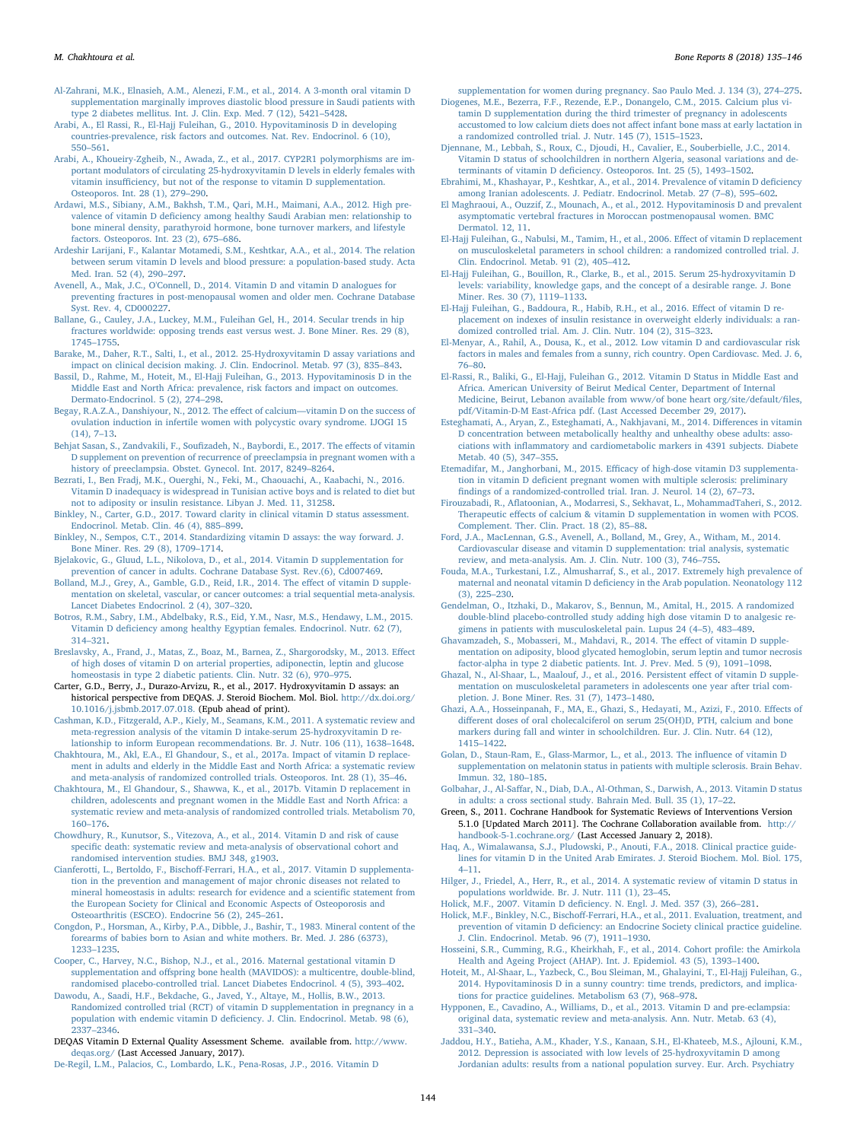<span id="page-9-37"></span>[Al-Zahrani, M.K., Elnasieh, A.M., Alenezi, F.M., et al., 2014. A 3-month oral vitamin D](http://refhub.elsevier.com/S2352-1872(18)30015-9/rf0070) [supplementation marginally improves diastolic blood pressure in Saudi patients with](http://refhub.elsevier.com/S2352-1872(18)30015-9/rf0070) [type 2 diabetes mellitus. Int. J. Clin. Exp. Med. 7 \(12\), 5421](http://refhub.elsevier.com/S2352-1872(18)30015-9/rf0070)–5428.

- <span id="page-9-8"></span>[Arabi, A., El Rassi, R., El-Hajj Fuleihan, G., 2010. Hypovitaminosis D in developing](http://refhub.elsevier.com/S2352-1872(18)30015-9/rf0075) [countries-prevalence, risk factors and outcomes. Nat. Rev. Endocrinol. 6 \(10\),](http://refhub.elsevier.com/S2352-1872(18)30015-9/rf0075) 550–[561](http://refhub.elsevier.com/S2352-1872(18)30015-9/rf0075).
- <span id="page-9-56"></span>[Arabi, A., Khoueiry-Zgheib, N., Awada, Z., et al., 2017. CYP2R1 polymorphisms are im](http://refhub.elsevier.com/S2352-1872(18)30015-9/rf0080)portant modulators of circulating 25‑[hydroxyvitamin D levels in elderly females with](http://refhub.elsevier.com/S2352-1872(18)30015-9/rf0080) vitamin insuffi[ciency, but not of the response to vitamin D supplementation.](http://refhub.elsevier.com/S2352-1872(18)30015-9/rf0080) [Osteoporos. Int. 28 \(1\), 279](http://refhub.elsevier.com/S2352-1872(18)30015-9/rf0080)–290.
- <span id="page-9-24"></span>[Ardawi, M.S., Sibiany, A.M., Bakhsh, T.M., Qari, M.H., Maimani, A.A., 2012. High pre](http://refhub.elsevier.com/S2352-1872(18)30015-9/rf0085)valence of vitamin D defi[ciency among healthy Saudi Arabian men: relationship to](http://refhub.elsevier.com/S2352-1872(18)30015-9/rf0085) [bone mineral density, parathyroid hormone, bone turnover markers, and lifestyle](http://refhub.elsevier.com/S2352-1872(18)30015-9/rf0085) [factors. Osteoporos. Int. 23 \(2\), 675](http://refhub.elsevier.com/S2352-1872(18)30015-9/rf0085)–686.
- <span id="page-9-21"></span>[Ardeshir Larijani, F., Kalantar Motamedi, S.M., Keshtkar, A.A., et al., 2014. The relation](http://refhub.elsevier.com/S2352-1872(18)30015-9/rf0090) [between serum vitamin D levels and blood pressure: a population-based study. Acta](http://refhub.elsevier.com/S2352-1872(18)30015-9/rf0090) [Med. Iran. 52 \(4\), 290](http://refhub.elsevier.com/S2352-1872(18)30015-9/rf0090)–297.
- <span id="page-9-5"></span>[Avenell, A., Mak, J.C., O'Connell, D., 2014. Vitamin D and vitamin D analogues for](http://refhub.elsevier.com/S2352-1872(18)30015-9/rf0095) [preventing fractures in post-menopausal women and older men. Cochrane Database](http://refhub.elsevier.com/S2352-1872(18)30015-9/rf0095) [Syst. Rev. 4, CD000227.](http://refhub.elsevier.com/S2352-1872(18)30015-9/rf0095)
- <span id="page-9-57"></span>[Ballane, G., Cauley, J.A., Luckey, M.M., Fuleihan Gel, H., 2014. Secular trends in hip](http://refhub.elsevier.com/S2352-1872(18)30015-9/rf0100) [fractures worldwide: opposing trends east versus west. J. Bone Miner. Res. 29 \(8\),](http://refhub.elsevier.com/S2352-1872(18)30015-9/rf0100) [1745](http://refhub.elsevier.com/S2352-1872(18)30015-9/rf0100)–1755.
- <span id="page-9-29"></span>[Barake, M., Daher, R.T., Salti, I., et al., 2012. 25](http://refhub.elsevier.com/S2352-1872(18)30015-9/rf0105)‑Hydroxyvitamin D assay variations and [impact on clinical decision making. J. Clin. Endocrinol. Metab. 97 \(3\), 835](http://refhub.elsevier.com/S2352-1872(18)30015-9/rf0105)–843.
- <span id="page-9-9"></span>[Bassil, D., Rahme, M., Hoteit, M., El-Hajj Fuleihan, G., 2013. Hypovitaminosis D in the](http://refhub.elsevier.com/S2352-1872(18)30015-9/rf0110) [Middle East and North Africa: prevalence, risk factors and impact on outcomes.](http://refhub.elsevier.com/S2352-1872(18)30015-9/rf0110) [Dermato-Endocrinol. 5 \(2\), 274](http://refhub.elsevier.com/S2352-1872(18)30015-9/rf0110)–298.
- <span id="page-9-38"></span>[Begay, R.A.Z.A., Danshiyour, N., 2012. The e](http://refhub.elsevier.com/S2352-1872(18)30015-9/rf0115)ffect of calcium—vitamin D on the success of [ovulation induction in infertile women with polycystic ovary syndrome. IJOGI 15](http://refhub.elsevier.com/S2352-1872(18)30015-9/rf0115) [\(14\), 7](http://refhub.elsevier.com/S2352-1872(18)30015-9/rf0115)–13.
- <span id="page-9-48"></span>Behjat Sasan, S., Zandvakili, F., Soufi[zadeh, N., Baybordi, E., 2017. The e](http://refhub.elsevier.com/S2352-1872(18)30015-9/rf0120)ffects of vitamin [D supplement on prevention of recurrence of preeclampsia in pregnant women with a](http://refhub.elsevier.com/S2352-1872(18)30015-9/rf0120) [history of preeclampsia. Obstet. Gynecol. Int. 2017, 8249](http://refhub.elsevier.com/S2352-1872(18)30015-9/rf0120)–8264.
- <span id="page-9-18"></span>[Bezrati, I., Ben Fradj, M.K., Ouerghi, N., Feki, M., Chaouachi, A., Kaabachi, N., 2016.](http://refhub.elsevier.com/S2352-1872(18)30015-9/rf0125) [Vitamin D inadequacy is widespread in Tunisian active boys and is related to diet but](http://refhub.elsevier.com/S2352-1872(18)30015-9/rf0125) [not to adiposity or insulin resistance. Libyan J. Med. 11, 31258](http://refhub.elsevier.com/S2352-1872(18)30015-9/rf0125).
- <span id="page-9-30"></span>[Binkley, N., Carter, G.D., 2017. Toward clarity in clinical vitamin D status assessment.](http://refhub.elsevier.com/S2352-1872(18)30015-9/rf45078) [Endocrinol. Metab. Clin. 46 \(4\), 885](http://refhub.elsevier.com/S2352-1872(18)30015-9/rf45078)–899.
- <span id="page-9-32"></span>[Binkley, N., Sempos, C.T., 2014. Standardizing vitamin D assays: the way forward. J.](http://refhub.elsevier.com/S2352-1872(18)30015-9/rf0130) [Bone Miner. Res. 29 \(8\), 1709](http://refhub.elsevier.com/S2352-1872(18)30015-9/rf0130)–1714.
- <span id="page-9-6"></span>[Bjelakovic, G., Gluud, L.L., Nikolova, D., et al., 2014. Vitamin D supplementation for](http://refhub.elsevier.com/S2352-1872(18)30015-9/rf0135) [prevention of cancer in adults. Cochrane Database Syst. Rev.\(6\), Cd007469.](http://refhub.elsevier.com/S2352-1872(18)30015-9/rf0135)
- <span id="page-9-3"></span>[Bolland, M.J., Grey, A., Gamble, G.D., Reid, I.R., 2014. The e](http://refhub.elsevier.com/S2352-1872(18)30015-9/rf0140)ffect of vitamin D supple[mentation on skeletal, vascular, or cancer outcomes: a trial sequential meta-analysis.](http://refhub.elsevier.com/S2352-1872(18)30015-9/rf0140) [Lancet Diabetes Endocrinol. 2 \(4\), 307](http://refhub.elsevier.com/S2352-1872(18)30015-9/rf0140)–320.
- <span id="page-9-19"></span>Botros, [R.M., Sabry, I.M., Abdelbaky, R.S., Eid, Y.M., Nasr, M.S., Hendawy, L.M., 2015.](http://refhub.elsevier.com/S2352-1872(18)30015-9/rf0145) Vitamin D defi[ciency among healthy Egyptian females. Endocrinol. Nutr. 62 \(7\),](http://refhub.elsevier.com/S2352-1872(18)30015-9/rf0145) 314–[321](http://refhub.elsevier.com/S2352-1872(18)30015-9/rf0145).
- <span id="page-9-39"></span>[Breslavsky, A., Frand, J., Matas, Z., Boaz, M., Barnea, Z., Shargorodsky, M., 2013. E](http://refhub.elsevier.com/S2352-1872(18)30015-9/rf0150)ffect [of high doses of vitamin D on arterial properties, adiponectin, leptin and glucose](http://refhub.elsevier.com/S2352-1872(18)30015-9/rf0150) [homeostasis in type 2 diabetic patients. Clin. Nutr. 32 \(6\), 970](http://refhub.elsevier.com/S2352-1872(18)30015-9/rf0150)–975.
- <span id="page-9-28"></span>Carter, G.D., Berry, J., Durazo-Arvizu, R., et al., 2017. Hydroxyvitamin D assays: an historical perspective from DEQAS. J. Steroid Biochem. Mol. Biol. [http://dx.doi.org/](http://dx.doi.org/10.1016/j.jsbmb.2017.07.018) [10.1016/j.jsbmb.2017.07.018.](http://dx.doi.org/10.1016/j.jsbmb.2017.07.018) (Epub ahead of print).
- <span id="page-9-45"></span>[Cashman, K.D., Fitzgerald, A.P., Kiely, M., Seamans, K.M., 2011. A systematic review and](http://refhub.elsevier.com/S2352-1872(18)30015-9/rf0160) [meta-regression analysis of the vitamin D intake-serum 25](http://refhub.elsevier.com/S2352-1872(18)30015-9/rf0160)-hydroxyvitamin D re[lationship to inform European recommendations. Br. J. Nutr. 106 \(11\), 1638](http://refhub.elsevier.com/S2352-1872(18)30015-9/rf0160)–1648.
- <span id="page-9-13"></span>[Chakhtoura, M., Akl, E.A., El Ghandour, S., et al., 2017a. Impact of vitamin D replace](http://refhub.elsevier.com/S2352-1872(18)30015-9/rf0165)[ment in adults and elderly in the Middle East and North Africa: a systematic review](http://refhub.elsevier.com/S2352-1872(18)30015-9/rf0165) [and meta-analysis of randomized controlled trials. Osteoporos. Int. 28 \(1\), 35](http://refhub.elsevier.com/S2352-1872(18)30015-9/rf0165)–46.
- <span id="page-9-35"></span>[Chakhtoura, M., El Ghandour, S., Shawwa, K., et al., 2017b. Vitamin D replacement in](http://refhub.elsevier.com/S2352-1872(18)30015-9/rf0170) [children, adolescents and pregnant women in the Middle East and North Africa: a](http://refhub.elsevier.com/S2352-1872(18)30015-9/rf0170) [systematic review and meta-analysis of randomized controlled trials. Metabolism 70,](http://refhub.elsevier.com/S2352-1872(18)30015-9/rf0170) 160–[176](http://refhub.elsevier.com/S2352-1872(18)30015-9/rf0170).
- <span id="page-9-7"></span>[Chowdhury, R., Kunutsor, S., Vitezova, A., et al., 2014. Vitamin D and risk of cause](http://refhub.elsevier.com/S2352-1872(18)30015-9/rf0175) specifi[c death: systematic review and meta-analysis of observational cohort and](http://refhub.elsevier.com/S2352-1872(18)30015-9/rf0175) [randomised intervention studies. BMJ 348, g1903.](http://refhub.elsevier.com/S2352-1872(18)30015-9/rf0175)
- <span id="page-9-54"></span>Cianferotti, L., Bertoldo, F., Bischoff[-Ferrari, H.A., et al., 2017. Vitamin D supplementa](http://refhub.elsevier.com/S2352-1872(18)30015-9/rf0180)[tion in the prevention and management of major chronic diseases not related to](http://refhub.elsevier.com/S2352-1872(18)30015-9/rf0180) [mineral homeostasis in adults: research for evidence and a scienti](http://refhub.elsevier.com/S2352-1872(18)30015-9/rf0180)fic statement from [the European Society for Clinical and Economic Aspects of Osteoporosis and](http://refhub.elsevier.com/S2352-1872(18)30015-9/rf0180) [Osteoarthritis \(ESCEO\). Endocrine 56 \(2\), 245](http://refhub.elsevier.com/S2352-1872(18)30015-9/rf0180)–261.
- <span id="page-9-52"></span>[Congdon, P., Horsman, A., Kirby, P.A., Dibble, J., Bashir, T., 1983. Mineral content of the](http://refhub.elsevier.com/S2352-1872(18)30015-9/rf0185) [forearms of babies born to Asian and white mothers. Br. Med. J. 286 \(6373\),](http://refhub.elsevier.com/S2352-1872(18)30015-9/rf0185) 1233–[1235](http://refhub.elsevier.com/S2352-1872(18)30015-9/rf0185).
- <span id="page-9-53"></span>[Cooper, C., Harvey, N.C., Bishop, N.J., et al., 2016. Maternal gestational vitamin D](http://refhub.elsevier.com/S2352-1872(18)30015-9/rf0190) supplementation and off[spring bone health \(MAVIDOS\): a multicentre, double-blind,](http://refhub.elsevier.com/S2352-1872(18)30015-9/rf0190) [randomised placebo-controlled trial. Lancet Diabetes Endocrinol. 4 \(5\), 393](http://refhub.elsevier.com/S2352-1872(18)30015-9/rf0190)–402.
- <span id="page-9-46"></span>[Dawodu, A., Saadi, H.F., Bekdache, G., Javed, Y., Altaye, M., Hollis, B.W., 2013.](http://refhub.elsevier.com/S2352-1872(18)30015-9/rf0195) [Randomized controlled trial \(RCT\) of vitamin D supplementation in pregnancy in a](http://refhub.elsevier.com/S2352-1872(18)30015-9/rf0195) population with endemic vitamin D defi[ciency. J. Clin. Endocrinol. Metab. 98 \(6\),](http://refhub.elsevier.com/S2352-1872(18)30015-9/rf0195) 2337–[2346](http://refhub.elsevier.com/S2352-1872(18)30015-9/rf0195).
- <span id="page-9-31"></span>DEQAS Vitamin D External Quality Assessment Scheme. available from. [http://www.](http://www.deqas.org/) [deqas.org/](http://www.deqas.org/) (Last Accessed January, 2017).
- <span id="page-9-49"></span>[De-Regil, L.M., Palacios, C., Lombardo, L.K., Pena-Rosas, J.P., 2016. Vitamin D](http://refhub.elsevier.com/S2352-1872(18)30015-9/rf0205)

<span id="page-9-51"></span>[supplementation for women during pregnancy. Sao Paulo Med. J. 134 \(3\), 274](http://refhub.elsevier.com/S2352-1872(18)30015-9/rf0205)–275. [Diogenes, M.E., Bezerra, F.F., Rezende, E.P., Donangelo, C.M., 2015. Calcium plus vi-](http://refhub.elsevier.com/S2352-1872(18)30015-9/rf0210)

- [tamin D supplementation during the third trimester of pregnancy in adolescents](http://refhub.elsevier.com/S2352-1872(18)30015-9/rf0210) [accustomed to low calcium diets does not a](http://refhub.elsevier.com/S2352-1872(18)30015-9/rf0210)ffect infant bone mass at early lactation in [a randomized controlled trial. J. Nutr. 145 \(7\), 1515](http://refhub.elsevier.com/S2352-1872(18)30015-9/rf0210)–1523.
- <span id="page-9-16"></span>Djennane, [M., Lebbah, S., Roux, C., Djoudi, H., Cavalier, E., Souberbielle, J.C., 2014.](http://refhub.elsevier.com/S2352-1872(18)30015-9/rf0215) [Vitamin D status of schoolchildren in northern Algeria, seasonal variations and de](http://refhub.elsevier.com/S2352-1872(18)30015-9/rf0215)terminants of vitamin D defi[ciency. Osteoporos. Int. 25 \(5\), 1493](http://refhub.elsevier.com/S2352-1872(18)30015-9/rf0215)–1502.
- <span id="page-9-17"></span>[Ebrahimi, M., Khashayar, P., Keshtkar, A., et al., 2014. Prevalence of vitamin D de](http://refhub.elsevier.com/S2352-1872(18)30015-9/rf0220)ficiency [among Iranian adolescents. J. Pediatr. Endocrinol. Metab. 27 \(7](http://refhub.elsevier.com/S2352-1872(18)30015-9/rf0220)–8), 595–602.
- <span id="page-9-25"></span>[El Maghraoui, A., Ouzzif, Z., Mounach, A., et al., 2012. Hypovitaminosis D and prevalent](http://refhub.elsevier.com/S2352-1872(18)30015-9/rf0225) [asymptomatic vertebral fractures in Moroccan postmenopausal women. BMC](http://refhub.elsevier.com/S2352-1872(18)30015-9/rf0225) [Dermatol. 12, 11.](http://refhub.elsevier.com/S2352-1872(18)30015-9/rf0225)
- <span id="page-9-33"></span>[El-Hajj Fuleihan, G., Nabulsi, M., Tamim, H., et al., 2006. E](http://refhub.elsevier.com/S2352-1872(18)30015-9/rf0230)ffect of vitamin D replacement [on musculoskeletal parameters in school children: a randomized controlled trial. J.](http://refhub.elsevier.com/S2352-1872(18)30015-9/rf0230) [Clin. Endocrinol. Metab. 91 \(2\), 405](http://refhub.elsevier.com/S2352-1872(18)30015-9/rf0230)–412.
- <span id="page-9-1"></span>[El-Hajj Fuleihan, G., Bouillon, R., Clarke, B., et al., 2015. Serum 25](http://refhub.elsevier.com/S2352-1872(18)30015-9/rf0235)‑hydroxyvitamin D [levels: variability, knowledge gaps, and the concept of a desirable range. J. Bone](http://refhub.elsevier.com/S2352-1872(18)30015-9/rf0235) [Miner. Res. 30 \(7\), 1119](http://refhub.elsevier.com/S2352-1872(18)30015-9/rf0235)-1133.
- <span id="page-9-40"></span>[El-Hajj Fuleihan, G., Baddoura, R., Habib, R.H., et al., 2016. E](http://refhub.elsevier.com/S2352-1872(18)30015-9/rf0240)ffect of vitamin D re[placement on indexes of insulin resistance in overweight elderly individuals: a ran](http://refhub.elsevier.com/S2352-1872(18)30015-9/rf0240)[domized controlled trial. Am. J. Clin. Nutr. 104 \(2\), 315](http://refhub.elsevier.com/S2352-1872(18)30015-9/rf0240)–323.
- <span id="page-9-26"></span>[El-Menyar, A., Rahil, A., Dousa, K., et al., 2012. Low vitamin D and cardiovascular risk](http://refhub.elsevier.com/S2352-1872(18)30015-9/rf0245) [factors in males and females from a sunny, rich country. Open Cardiovasc. Med. J. 6,](http://refhub.elsevier.com/S2352-1872(18)30015-9/rf0245) 76–[80](http://refhub.elsevier.com/S2352-1872(18)30015-9/rf0245).
- <span id="page-9-11"></span>[El-Rassi, R., Baliki, G., El-Hajj, Fuleihan G., 2012. Vitamin D Status in Middle East and](http://refhub.elsevier.com/S2352-1872(18)30015-9/rf0250) [Africa. American University of Beirut Medical Center, Department of Internal](http://refhub.elsevier.com/S2352-1872(18)30015-9/rf0250) [Medicine, Beirut, Lebanon available from www/of bone heart org/site/default/](http://refhub.elsevier.com/S2352-1872(18)30015-9/rf0250)files, [pdf/Vitamin-D-M East-Africa pdf. \(Last Accessed December 29, 2017\)](http://refhub.elsevier.com/S2352-1872(18)30015-9/rf0250).
- <span id="page-9-22"></span>[Esteghamati, A., Aryan, Z., Esteghamati, A., Nakhjavani, M., 2014. Di](http://refhub.elsevier.com/S2352-1872(18)30015-9/rf0255)fferences in vitamin [D concentration between metabolically healthy and unhealthy obese adults: asso](http://refhub.elsevier.com/S2352-1872(18)30015-9/rf0255)ciations with infl[ammatory and cardiometabolic markers in 4391 subjects. Diabete](http://refhub.elsevier.com/S2352-1872(18)30015-9/rf0255) [Metab. 40 \(5\), 347](http://refhub.elsevier.com/S2352-1872(18)30015-9/rf0255)–355.
- <span id="page-9-47"></span>Etemadifar, M., Janghorbani, M., 2015. Effi[cacy of high-dose vitamin D3 supplementa](http://refhub.elsevier.com/S2352-1872(18)30015-9/rf0260)tion in vitamin D defi[cient pregnant women with multiple sclerosis: preliminary](http://refhub.elsevier.com/S2352-1872(18)30015-9/rf0260) fi[ndings of a randomized-controlled trial. Iran. J. Neurol. 14 \(2\), 67](http://refhub.elsevier.com/S2352-1872(18)30015-9/rf0260)–73.
- <span id="page-9-41"></span>Firouzabadi, R., Afl[atoonian, A., Modarresi, S., Sekhavat, L., MohammadTaheri, S., 2012.](http://refhub.elsevier.com/S2352-1872(18)30015-9/rf0265) Therapeutic eff[ects of calcium & vitamin D supplementation in women with PCOS.](http://refhub.elsevier.com/S2352-1872(18)30015-9/rf0265) [Complement. Ther. Clin. Pract. 18 \(2\), 85](http://refhub.elsevier.com/S2352-1872(18)30015-9/rf0265)–88.
- <span id="page-9-4"></span>[Ford, J.A., MacLennan, G.S., Avenell, A., Bolland, M., Grey, A., Witham, M., 2014.](http://refhub.elsevier.com/S2352-1872(18)30015-9/rf0270) [Cardiovascular disease and vitamin D supplementation: trial analysis, systematic](http://refhub.elsevier.com/S2352-1872(18)30015-9/rf0270) [review, and meta-analysis. Am. J. Clin. Nutr. 100 \(3\), 746](http://refhub.elsevier.com/S2352-1872(18)30015-9/rf0270)–755.
- <span id="page-9-15"></span>[Fouda, M.A., Turkestani, I.Z., Almusharraf, S., et al., 2017. Extremely high prevalence of](http://refhub.elsevier.com/S2352-1872(18)30015-9/rf0275) maternal and neonatal vitamin D defi[ciency in the Arab population. Neonatology 112](http://refhub.elsevier.com/S2352-1872(18)30015-9/rf0275) [\(3\), 225](http://refhub.elsevier.com/S2352-1872(18)30015-9/rf0275)–230.
- <span id="page-9-42"></span>[Gendelman, O., Itzhaki, D., Makarov, S., Bennun, M., Amital, H., 2015. A randomized](http://refhub.elsevier.com/S2352-1872(18)30015-9/rf0280) [double-blind placebo-controlled study adding high dose vitamin D to analgesic re](http://refhub.elsevier.com/S2352-1872(18)30015-9/rf0280)gimens [in patients with musculoskeletal pain. Lupus 24 \(4](http://refhub.elsevier.com/S2352-1872(18)30015-9/rf0280)–5), 483–489.
- <span id="page-9-43"></span>[Ghavamzadeh, S., Mobasseri, M., Mahdavi, R., 2014. The e](http://refhub.elsevier.com/S2352-1872(18)30015-9/rf0285)ffect of vitamin D supple[mentation on adiposity, blood glycated hemoglobin, serum leptin and tumor necrosis](http://refhub.elsevier.com/S2352-1872(18)30015-9/rf0285) [factor-alpha in type 2 diabetic patients. Int. J. Prev. Med. 5 \(9\), 1091](http://refhub.elsevier.com/S2352-1872(18)30015-9/rf0285)–1098.
- <span id="page-9-36"></span>[Ghazal, N., Al-Shaar, L., Maalouf, J., et al., 2016. Persistent e](http://refhub.elsevier.com/S2352-1872(18)30015-9/rf0290)ffect of vitamin D supple[mentation on musculoskeletal parameters in adolescents one year after trial com](http://refhub.elsevier.com/S2352-1872(18)30015-9/rf0290)[pletion. J. Bone Miner. Res. 31 \(7\), 1473](http://refhub.elsevier.com/S2352-1872(18)30015-9/rf0290)–1480.
- <span id="page-9-34"></span>[Ghazi, A.A., Hosseinpanah, F., MA, E., Ghazi, S., Hedayati, M., Azizi, F., 2010. E](http://refhub.elsevier.com/S2352-1872(18)30015-9/rf0295)ffects of diff[erent doses of oral cholecalciferol on serum 25\(OH\)D, PTH, calcium and bone](http://refhub.elsevier.com/S2352-1872(18)30015-9/rf0295) [markers during fall and winter in schoolchildren. Eur. J. Clin. Nutr. 64 \(12\),](http://refhub.elsevier.com/S2352-1872(18)30015-9/rf0295) 1415–[1422](http://refhub.elsevier.com/S2352-1872(18)30015-9/rf0295).
- <span id="page-9-44"></span>[Golan, D., Staun-Ram, E., Glass-Marmor, L., et al., 2013. The in](http://refhub.elsevier.com/S2352-1872(18)30015-9/rf0300)fluence of vitamin D [supplementation on melatonin status in patients with multiple sclerosis. Brain Behav.](http://refhub.elsevier.com/S2352-1872(18)30015-9/rf0300) [Immun. 32, 180](http://refhub.elsevier.com/S2352-1872(18)30015-9/rf0300)–185.
- <span id="page-9-20"></span>Golbahar, J., Al-Saff[ar, N., Diab, D.A., Al-Othman, S., Darwish, A., 2013. Vitamin D status](http://refhub.elsevier.com/S2352-1872(18)30015-9/rf0305) [in adults: a cross sectional study. Bahrain Med. Bull. 35 \(1\), 17](http://refhub.elsevier.com/S2352-1872(18)30015-9/rf0305)–22.
- <span id="page-9-14"></span>Green, S., 2011. Cochrane Handbook for Systematic Reviews of Interventions Version 5.1.0 [Updated March 2011]. The Cochrane Collaboration available from. [http://](http://handbook-5-1.cochrane.org/) [handbook-5-1.cochrane.org/](http://handbook-5-1.cochrane.org/) (Last Accessed January 2, 2018).
- <span id="page-9-55"></span>[Haq, A., Wimalawansa, S.J., Pludowski, P., Anouti, F.A., 2018. Clinical practice guide](http://refhub.elsevier.com/S2352-1872(18)30015-9/rf0315)[lines for vitamin D in the United Arab Emirates. J. Steroid Biochem. Mol. Biol. 175,](http://refhub.elsevier.com/S2352-1872(18)30015-9/rf0315) 4–[11.](http://refhub.elsevier.com/S2352-1872(18)30015-9/rf0315)
- <span id="page-9-12"></span>[Hilger, J., Friedel, A., Herr, R., et al., 2014. A systematic review of vitamin D status in](http://refhub.elsevier.com/S2352-1872(18)30015-9/rf0320) [populations worldwide. Br. J. Nutr. 111 \(1\), 23](http://refhub.elsevier.com/S2352-1872(18)30015-9/rf0320)–45.
- <span id="page-9-0"></span>Holick, M.F., 2007. Vitamin D defi[ciency. N. Engl. J. Med. 357 \(3\), 266](http://refhub.elsevier.com/S2352-1872(18)30015-9/rf0325)–281.
- <span id="page-9-2"></span>Holick, M.F., Binkley, N.C., Bischoff[-Ferrari, H.A., et al., 2011. Evaluation, treatment, and](http://refhub.elsevier.com/S2352-1872(18)30015-9/rf0330) prevention of vitamin D defi[ciency: an Endocrine Society clinical practice guideline.](http://refhub.elsevier.com/S2352-1872(18)30015-9/rf0330) [J. Clin. Endocrinol. Metab. 96 \(7\), 1911](http://refhub.elsevier.com/S2352-1872(18)30015-9/rf0330)–1930.
- <span id="page-9-27"></span>[Hosseini, S.R., Cumming, R.G., Kheirkhah, F., et al., 2014. Cohort pro](http://refhub.elsevier.com/S2352-1872(18)30015-9/rf0335)file: the Amirkola [Health and Ageing Project \(AHAP\). Int. J. Epidemiol. 43 \(5\), 1393](http://refhub.elsevier.com/S2352-1872(18)30015-9/rf0335)–1400.
- <span id="page-9-10"></span>[Hoteit, M., Al-Shaar, L., Yazbeck, C., Bou Sleiman, M., Ghalayini, T., El-Hajj Fuleihan, G.,](http://refhub.elsevier.com/S2352-1872(18)30015-9/rf0340) [2014. Hypovitaminosis D in a sunny country: time trends, predictors, and implica](http://refhub.elsevier.com/S2352-1872(18)30015-9/rf0340)[tions for practice guidelines. Metabolism 63 \(7\), 968](http://refhub.elsevier.com/S2352-1872(18)30015-9/rf0340)–978.
- <span id="page-9-50"></span>[Hypponen, E., Cavadino, A., Williams, D., et al., 2013. Vitamin D and pre-eclampsia:](http://refhub.elsevier.com/S2352-1872(18)30015-9/rf0345) [original data, systematic review and meta-analysis. Ann. Nutr. Metab. 63 \(4\),](http://refhub.elsevier.com/S2352-1872(18)30015-9/rf0345) 331–[340](http://refhub.elsevier.com/S2352-1872(18)30015-9/rf0345).
- <span id="page-9-23"></span>[Jaddou, H.Y., Batieha, A.M., Khader, Y.S., Kanaan, S.H., El-Khateeb, M.S., Ajlouni, K.M.,](http://refhub.elsevier.com/S2352-1872(18)30015-9/rf0350) [2012. Depression is associated with low levels of 25](http://refhub.elsevier.com/S2352-1872(18)30015-9/rf0350)‑hydroxyvitamin D among [Jordanian adults: results from a national population survey. Eur. Arch. Psychiatry](http://refhub.elsevier.com/S2352-1872(18)30015-9/rf0350)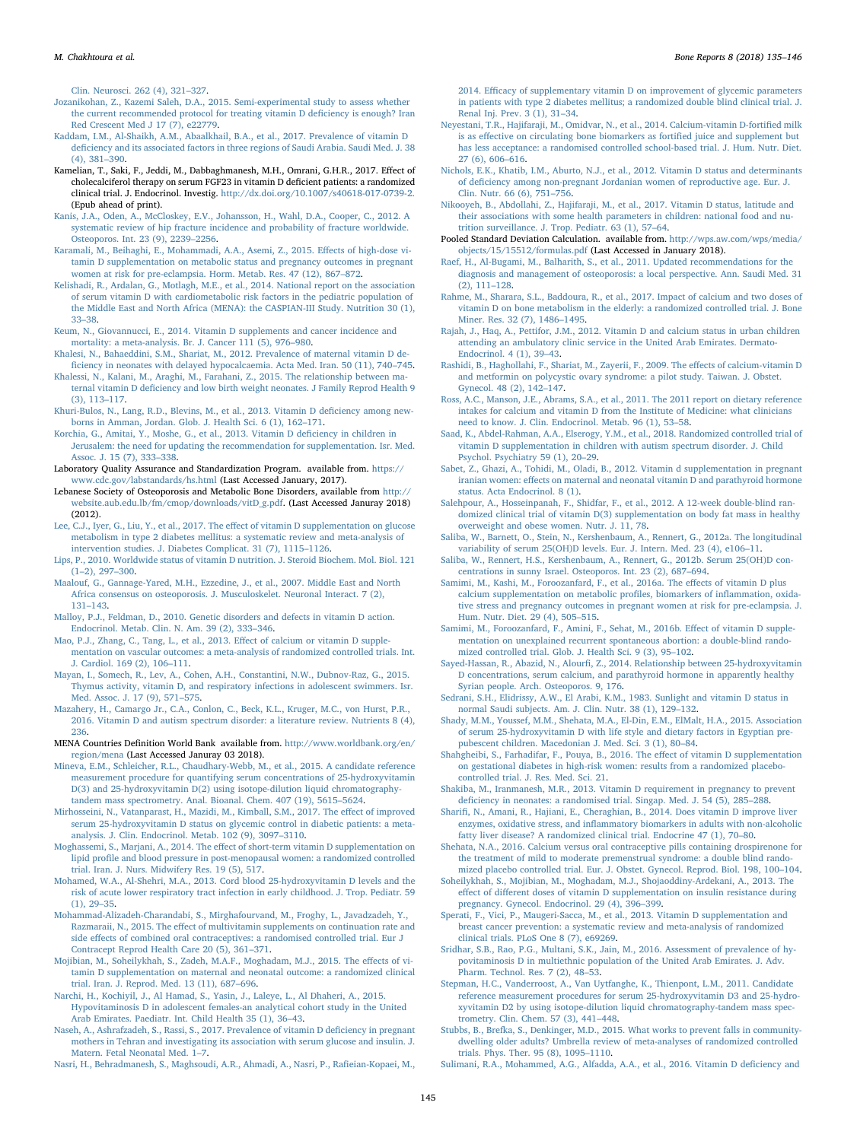[Clin. Neurosci. 262 \(4\), 321](http://refhub.elsevier.com/S2352-1872(18)30015-9/rf0350)–327.

- <span id="page-10-46"></span>[Jozanikohan, Z., Kazemi Saleh, D.A., 2015. Semi-experimental study to assess whether](http://refhub.elsevier.com/S2352-1872(18)30015-9/rf0355) [the current recommended protocol for treating vitamin D de](http://refhub.elsevier.com/S2352-1872(18)30015-9/rf0355)ficiency is enough? Iran [Red Crescent Med J 17 \(7\), e22779](http://refhub.elsevier.com/S2352-1872(18)30015-9/rf0355).
- <span id="page-10-17"></span>[Kaddam, I.M., Al-Shaikh, A.M., Abaalkhail, B.A., et al., 2017. Prevalence of vitamin D](http://refhub.elsevier.com/S2352-1872(18)30015-9/rf0360) defi[ciency and its associated factors in three regions of Saudi Arabia. Saudi Med. J. 38](http://refhub.elsevier.com/S2352-1872(18)30015-9/rf0360) [\(4\), 381](http://refhub.elsevier.com/S2352-1872(18)30015-9/rf0360)–390.
- <span id="page-10-45"></span>Kamelian, T., Saki, F., Jeddi, M., Dabbaghmanesh, M.H., Omrani, G.H.R., 2017. Effect of cholecalciferol therapy on serum FGF23 in vitamin D deficient patients: a randomized clinical trial. J. Endocrinol. Investig. [http://dx.doi.org/10.1007/s40618-017-0739-2.](http://dx.doi.org/10.1007/s40618-017-0739-2) [\(Epub ahead of print\)](http://dx.doi.org/10.1007/s40618-017-0739-2).
- <span id="page-10-57"></span>[Kanis, J.A., Oden, A., McCloskey, E.V., Johansson, H., Wahl, D.A., Cooper, C., 2012. A](http://refhub.elsevier.com/S2352-1872(18)30015-9/rf0370) [systematic review of hip fracture incidence and probability of fracture worldwide.](http://refhub.elsevier.com/S2352-1872(18)30015-9/rf0370) [Osteoporos. Int. 23 \(9\), 2239](http://refhub.elsevier.com/S2352-1872(18)30015-9/rf0370)–2256.
- <span id="page-10-41"></span>[Karamali, M., Beihaghi, E., Mohammadi, A.A., Asemi, Z., 2015. E](http://refhub.elsevier.com/S2352-1872(18)30015-9/rf0375)ffects of high-dose vi[tamin D supplementation on metabolic status and pregnancy outcomes in pregnant](http://refhub.elsevier.com/S2352-1872(18)30015-9/rf0375) [women at risk for pre-eclampsia. Horm. Metab. Res. 47 \(12\), 867](http://refhub.elsevier.com/S2352-1872(18)30015-9/rf0375)–872.
- <span id="page-10-14"></span>[Kelishadi, R., Ardalan, G., Motlagh, M.E., et al., 2014. National report on the association](http://refhub.elsevier.com/S2352-1872(18)30015-9/rf0380) [of serum vitamin D with cardiometabolic risk factors in the pediatric population of](http://refhub.elsevier.com/S2352-1872(18)30015-9/rf0380) [the Middle East and North Africa \(MENA\): the CASPIAN-III Study. Nutrition 30 \(1\),](http://refhub.elsevier.com/S2352-1872(18)30015-9/rf0380) 33–[38](http://refhub.elsevier.com/S2352-1872(18)30015-9/rf0380).
- <span id="page-10-3"></span>[Keum, N., Giovannucci, E., 2014. Vitamin D supplements and cancer incidence and](http://refhub.elsevier.com/S2352-1872(18)30015-9/rf0385) [mortality: a meta-analysis. Br. J. Cancer 111 \(5\), 976](http://refhub.elsevier.com/S2352-1872(18)30015-9/rf0385)–980.
- <span id="page-10-10"></span>[Khalesi, N., Bahaeddini, S.M., Shariat, M., 2012. Prevalence of maternal vitamin D de](http://refhub.elsevier.com/S2352-1872(18)30015-9/rf0390)fi[ciency in neonates with delayed hypocalcaemia. Acta Med. Iran. 50 \(11\), 740](http://refhub.elsevier.com/S2352-1872(18)30015-9/rf0390)–745.
- <span id="page-10-22"></span>[Khalessi, N., Kalani, M., Araghi, M., Farahani, Z., 2015. The relationship between ma](http://refhub.elsevier.com/S2352-1872(18)30015-9/rf0395)ternal vitamin D defi[ciency and low birth weight neonates. J Family Reprod Health 9](http://refhub.elsevier.com/S2352-1872(18)30015-9/rf0395) [\(3\), 113](http://refhub.elsevier.com/S2352-1872(18)30015-9/rf0395)–117.
- <span id="page-10-11"></span>[Khuri-Bulos, N., Lang, R.D., Blevins, M., et al., 2013. Vitamin D de](http://refhub.elsevier.com/S2352-1872(18)30015-9/rf0400)ficiency among new[borns in Amman, Jordan. Glob. J. Health Sci. 6 \(1\), 162](http://refhub.elsevier.com/S2352-1872(18)30015-9/rf0400)–171.
- <span id="page-10-19"></span>[Korchia, G., Amitai, Y., Moshe, G., et al., 2013. Vitamin D de](http://refhub.elsevier.com/S2352-1872(18)30015-9/rf0405)ficiency in children in [Jerusalem: the need for updating the recommendation for supplementation. Isr. Med.](http://refhub.elsevier.com/S2352-1872(18)30015-9/rf0405) [Assoc. J. 15 \(7\), 333](http://refhub.elsevier.com/S2352-1872(18)30015-9/rf0405)–338.
- <span id="page-10-28"></span>Laboratory Quality Assurance and Standardization Program. available from. [https://](https://www.cdc.gov/labstandards/hs.html) [www.cdc.gov/labstandards/hs.html](https://www.cdc.gov/labstandards/hs.html) (Last Accessed January, 2017).
- <span id="page-10-55"></span>Lebanese Society of Osteoporosis and Metabolic Bone Disorders, available from [http://](http://website.aub.edu.lb/fm/cmop/downloads/vitD_g.pdf) [website.aub.edu.lb/fm/cmop/downloads/vitD\\_g.pdf.](http://website.aub.edu.lb/fm/cmop/downloads/vitD_g.pdf) (Last Accessed Januray 2018) (2012).
- <span id="page-10-53"></span>Lee, C.J., Iyer, G., Liu, Y., et al., 2017. The eff[ect of vitamin D supplementation on glucose](http://refhub.elsevier.com/S2352-1872(18)30015-9/rf0415) [metabolism in type 2 diabetes mellitus: a systematic review and meta-analysis of](http://refhub.elsevier.com/S2352-1872(18)30015-9/rf0415) [intervention studies. J. Diabetes Complicat. 31 \(7\), 1115](http://refhub.elsevier.com/S2352-1872(18)30015-9/rf0415)–1126.
- <span id="page-10-6"></span>[Lips, P., 2010. Worldwide status of vitamin D nutrition. J. Steroid Biochem. Mol. Biol. 121](http://refhub.elsevier.com/S2352-1872(18)30015-9/rf0420)  $(1-2)$ , 297–300.
- <span id="page-10-56"></span>Maalouf, [G., Gannage-Yared, M.H., Ezzedine, J., et al., 2007. Middle East and North](http://refhub.elsevier.com/S2352-1872(18)30015-9/rf0425) [Africa consensus on osteoporosis. J. Musculoskelet. Neuronal Interact. 7 \(2\),](http://refhub.elsevier.com/S2352-1872(18)30015-9/rf0425) 131–[143](http://refhub.elsevier.com/S2352-1872(18)30015-9/rf0425).
- <span id="page-10-9"></span>[Malloy, P.J., Feldman, D., 2010. Genetic disorders and defects in vitamin D action.](http://refhub.elsevier.com/S2352-1872(18)30015-9/rf0430) [Endocrinol. Metab. Clin. N. Am. 39 \(2\), 333](http://refhub.elsevier.com/S2352-1872(18)30015-9/rf0430)–346.
- <span id="page-10-4"></span>[Mao, P.J., Zhang, C., Tang, L., et al., 2013. E](http://refhub.elsevier.com/S2352-1872(18)30015-9/rf0435)ffect of calcium or vitamin D supple[mentation on vascular outcomes: a meta-analysis of randomized controlled trials. Int.](http://refhub.elsevier.com/S2352-1872(18)30015-9/rf0435) [J. Cardiol. 169 \(2\), 106](http://refhub.elsevier.com/S2352-1872(18)30015-9/rf0435)–111.
- <span id="page-10-31"></span>[Mayan, I., Somech, R., Lev, A., Cohen, A.H., Constantini, N.W., Dubnov-Raz, G., 2015.](http://refhub.elsevier.com/S2352-1872(18)30015-9/rf0440) [Thymus activity, vitamin D, and respiratory infections in adolescent swimmers. Isr.](http://refhub.elsevier.com/S2352-1872(18)30015-9/rf0440) [Med. Assoc. J. 17 \(9\), 571](http://refhub.elsevier.com/S2352-1872(18)30015-9/rf0440)–575.
- <span id="page-10-51"></span>[Mazahery, H., Camargo Jr., C.A., Conlon, C., Beck, K.L., Kruger, M.C., von Hurst, P.R.,](http://refhub.elsevier.com/S2352-1872(18)30015-9/rf0445) [2016. Vitamin D and autism spectrum disorder: a literature review. Nutrients 8 \(4\),](http://refhub.elsevier.com/S2352-1872(18)30015-9/rf0445) [236](http://refhub.elsevier.com/S2352-1872(18)30015-9/rf0445).
- <span id="page-10-7"></span>MENA Countries Definition World Bank available from. [http://www.worldbank.org/en/](http://www.worldbank.org/en/region/mena) [region/mena](http://www.worldbank.org/en/region/mena) (Last Accessed Januray 03 2018).
- <span id="page-10-30"></span>[Mineva, E.M., Schleicher, R.L., Chaudhary-Webb, M., et al., 2015. A candidate reference](http://refhub.elsevier.com/S2352-1872(18)30015-9/rf0455) [measurement procedure for quantifying serum concentrations of 25](http://refhub.elsevier.com/S2352-1872(18)30015-9/rf0455)‑hydroxyvitamin D(3) and 25-hydroxyvitamin D(2) using isotope-dilution liquid chromatography [tandem mass spectrometry. Anal. Bioanal. Chem. 407 \(19\), 5615](http://refhub.elsevier.com/S2352-1872(18)30015-9/rf0455)–5624.
- <span id="page-10-52"></span>[Mirhosseini, N., Vatanparast, H., Mazidi, M., Kimball, S.M., 2017. The e](http://refhub.elsevier.com/S2352-1872(18)30015-9/rf0460)ffect of improved serum 25‑[hydroxyvitamin D status on glycemic control in diabetic patients: a meta](http://refhub.elsevier.com/S2352-1872(18)30015-9/rf0460)[analysis. J. Clin. Endocrinol. Metab. 102 \(9\), 3097](http://refhub.elsevier.com/S2352-1872(18)30015-9/rf0460)–3110.
- <span id="page-10-33"></span>Moghassemi, S., Marjani, A., 2014. The eff[ect of short-term vitamin D supplementation on](http://refhub.elsevier.com/S2352-1872(18)30015-9/rf0465) lipid profi[le and blood pressure in post-menopausal women: a randomized controlled](http://refhub.elsevier.com/S2352-1872(18)30015-9/rf0465) [trial. Iran. J. Nurs. Midwifery Res. 19 \(5\), 517](http://refhub.elsevier.com/S2352-1872(18)30015-9/rf0465).
- <span id="page-10-12"></span>[Mohamed, W.A., Al-Shehri, M.A., 2013. Cord blood 25](http://refhub.elsevier.com/S2352-1872(18)30015-9/rf0470)‑hydroxyvitamin D levels and the [risk of acute lower respiratory tract infection in early childhood. J. Trop. Pediatr. 59](http://refhub.elsevier.com/S2352-1872(18)30015-9/rf0470) [\(1\), 29](http://refhub.elsevier.com/S2352-1872(18)30015-9/rf0470)–35.
- <span id="page-10-47"></span>[Mohammad-Alizadeh-Charandabi, S., Mirghafourvand, M., Froghy, L., Javadzadeh, Y.,](http://refhub.elsevier.com/S2352-1872(18)30015-9/rf0475) Razmaraii, N., 2015. The eff[ect of multivitamin supplements on continuation rate and](http://refhub.elsevier.com/S2352-1872(18)30015-9/rf0475) side eff[ects of combined oral contraceptives: a randomised controlled trial. Eur J](http://refhub.elsevier.com/S2352-1872(18)30015-9/rf0475) [Contracept Reprod Health Care 20 \(5\), 361](http://refhub.elsevier.com/S2352-1872(18)30015-9/rf0475)–371.
- <span id="page-10-50"></span>[Mojibian, M., Soheilykhah, S., Zadeh, M.A.F., Moghadam, M.J., 2015. The e](http://refhub.elsevier.com/S2352-1872(18)30015-9/rf0480)ffects of vi[tamin D supplementation on maternal and neonatal outcome: a randomized clinical](http://refhub.elsevier.com/S2352-1872(18)30015-9/rf0480) [trial. Iran. J. Reprod. Med. 13 \(11\), 687](http://refhub.elsevier.com/S2352-1872(18)30015-9/rf0480)–696.
- <span id="page-10-20"></span>[Narchi, H., Kochiyil, J., Al Hamad, S., Yasin, J., Laleye, L., Al Dhaheri, A., 2015.](http://refhub.elsevier.com/S2352-1872(18)30015-9/rf0485) [Hypovitaminosis D in adolescent females-an analytical cohort study in the United](http://refhub.elsevier.com/S2352-1872(18)30015-9/rf0485) [Arab Emirates. Paediatr. Int. Child Health 35 \(1\), 36](http://refhub.elsevier.com/S2352-1872(18)30015-9/rf0485)–43.
- <span id="page-10-23"></span>[Naseh, A., Ashrafzadeh, S., Rassi, S., 2017. Prevalence of vitamin D de](http://refhub.elsevier.com/S2352-1872(18)30015-9/rf0490)ficiency in pregnant [mothers in Tehran and investigating its association with serum glucose and insulin. J.](http://refhub.elsevier.com/S2352-1872(18)30015-9/rf0490) [Matern. Fetal Neonatal Med. 1](http://refhub.elsevier.com/S2352-1872(18)30015-9/rf0490)–7.

<span id="page-10-34"></span>[Nasri, H., Behradmanesh, S., Maghsoudi, A.R., Ahmadi, A., Nasri, P., Ra](http://refhub.elsevier.com/S2352-1872(18)30015-9/rf0495)fieian-Kopaei, M.,

2014. Effi[cacy of supplementary vitamin D on improvement of glycemic parameters](http://refhub.elsevier.com/S2352-1872(18)30015-9/rf0495) [in patients with type 2 diabetes mellitus; a randomized double blind clinical trial. J.](http://refhub.elsevier.com/S2352-1872(18)30015-9/rf0495) [Renal Inj. Prev. 3 \(1\), 31](http://refhub.elsevier.com/S2352-1872(18)30015-9/rf0495)–34.

- <span id="page-10-32"></span>[Neyestani, T.R., Hajifaraji, M., Omidvar, N., et al., 2014. Calcium-vitamin D-forti](http://refhub.elsevier.com/S2352-1872(18)30015-9/rf0500)fied milk is as eff[ective on circulating bone biomarkers as forti](http://refhub.elsevier.com/S2352-1872(18)30015-9/rf0500)fied juice and supplement but [has less acceptance: a randomised controlled school-based trial. J. Hum. Nutr. Diet.](http://refhub.elsevier.com/S2352-1872(18)30015-9/rf0500) [27 \(6\), 606](http://refhub.elsevier.com/S2352-1872(18)30015-9/rf0500)–616.
- <span id="page-10-16"></span>[Nichols, E.K., Khatib, I.M., Aburto, N.J., et al., 2012. Vitamin D status and determinants](http://refhub.elsevier.com/S2352-1872(18)30015-9/rf0505) of defi[ciency among non-pregnant Jordanian women of reproductive age. Eur. J.](http://refhub.elsevier.com/S2352-1872(18)30015-9/rf0505) [Clin. Nutr. 66 \(6\), 751](http://refhub.elsevier.com/S2352-1872(18)30015-9/rf0505)–756.
- <span id="page-10-15"></span>[Nikooyeh, B., Abdollahi, Z., Hajifaraji, M., et al., 2017. Vitamin D status, latitude and](http://refhub.elsevier.com/S2352-1872(18)30015-9/rf0510) [their associations with some health parameters in children: national food and nu](http://refhub.elsevier.com/S2352-1872(18)30015-9/rf0510)[trition surveillance. J. Trop. Pediatr. 63 \(1\), 57](http://refhub.elsevier.com/S2352-1872(18)30015-9/rf0510)–64.
- <span id="page-10-8"></span>Pooled Standard Deviation Calculation. available from. [http://wps.aw.com/wps/media/](http://wps.aw.com/wps/media/objects/15/15512/formulas.pdf) [objects/15/15512/formulas.pdf](http://wps.aw.com/wps/media/objects/15/15512/formulas.pdf) (Last Accessed in January 2018).
- <span id="page-10-54"></span>[Raef, H., Al-Bugami, M., Balharith, S., et al., 2011. Updated recommendations for the](http://refhub.elsevier.com/S2352-1872(18)30015-9/rf0520) [diagnosis and management of osteoporosis: a local perspective. Ann. Saudi Med. 31](http://refhub.elsevier.com/S2352-1872(18)30015-9/rf0520) [\(2\), 111](http://refhub.elsevier.com/S2352-1872(18)30015-9/rf0520)–128.
- <span id="page-10-49"></span>[Rahme, M., Sharara, S.L., Baddoura, R., et al., 2017. Impact of calcium and two doses of](http://refhub.elsevier.com/S2352-1872(18)30015-9/rf0525) [vitamin D on bone metabolism in the elderly: a randomized controlled trial. J. Bone](http://refhub.elsevier.com/S2352-1872(18)30015-9/rf0525) [Miner. Res. 32 \(7\), 1486](http://refhub.elsevier.com/S2352-1872(18)30015-9/rf0525)–1495.
- <span id="page-10-21"></span>[Rajah, J., Haq, A., Pettifor, J.M., 2012. Vitamin D and calcium status in urban children](http://refhub.elsevier.com/S2352-1872(18)30015-9/rf0530) [attending an ambulatory clinic service in the United Arab Emirates. Dermato-](http://refhub.elsevier.com/S2352-1872(18)30015-9/rf0530)[Endocrinol. 4 \(1\), 39](http://refhub.elsevier.com/S2352-1872(18)30015-9/rf0530)–43.
- <span id="page-10-35"></span>[Rashidi, B., Haghollahi, F., Shariat, M., Zayerii, F., 2009. The e](http://refhub.elsevier.com/S2352-1872(18)30015-9/rf0535)ffects of calcium-vitamin D [and metformin on polycystic ovary syndrome: a pilot study. Taiwan. J. Obstet.](http://refhub.elsevier.com/S2352-1872(18)30015-9/rf0535) [Gynecol. 48 \(2\), 142](http://refhub.elsevier.com/S2352-1872(18)30015-9/rf0535)–147.
- <span id="page-10-1"></span>[Ross, A.C., Manson, J.E., Abrams, S.A., et al., 2011. The 2011 report on dietary reference](http://refhub.elsevier.com/S2352-1872(18)30015-9/rf0540) [intakes for calcium and vitamin D from the Institute of Medicine: what clinicians](http://refhub.elsevier.com/S2352-1872(18)30015-9/rf0540) [need to know. J. Clin. Endocrinol. Metab. 96 \(1\), 53](http://refhub.elsevier.com/S2352-1872(18)30015-9/rf0540)–58.
- <span id="page-10-44"></span>[Saad, K., Abdel-Rahman, A.A., Elserogy, Y.M., et al., 2018. Randomized controlled trial of](http://refhub.elsevier.com/S2352-1872(18)30015-9/rf0545) [vitamin D supplementation in children with autism spectrum disorder. J. Child](http://refhub.elsevier.com/S2352-1872(18)30015-9/rf0545) [Psychol. Psychiatry 59 \(1\), 20](http://refhub.elsevier.com/S2352-1872(18)30015-9/rf0545)–29.
- <span id="page-10-38"></span>[Sabet, Z., Ghazi, A., Tohidi, M., Oladi, B., 2012. Vitamin d supplementation in pregnant](http://refhub.elsevier.com/S2352-1872(18)30015-9/rf0550) iranian women: eff[ects on maternal and neonatal vitamin D and parathyroid hormone](http://refhub.elsevier.com/S2352-1872(18)30015-9/rf0550) [status. Acta Endocrinol. 8 \(1\)](http://refhub.elsevier.com/S2352-1872(18)30015-9/rf0550).
- <span id="page-10-37"></span>[Salehpour, A., Hosseinpanah, F., Shidfar, F., et al., 2012. A 12-week double-blind ran](http://refhub.elsevier.com/S2352-1872(18)30015-9/rf0555)[domized clinical trial of vitamin D\(3\) supplementation on body fat mass in healthy](http://refhub.elsevier.com/S2352-1872(18)30015-9/rf0555) [overweight and obese women. Nutr. J. 11, 78](http://refhub.elsevier.com/S2352-1872(18)30015-9/rf0555).
- <span id="page-10-24"></span>[Saliba, W., Barnett, O., Stein, N., Kershenbaum, A., Rennert, G., 2012a. The longitudinal](http://refhub.elsevier.com/S2352-1872(18)30015-9/rf0560) [variability of serum 25\(OH\)D levels. Eur. J. Intern. Med. 23 \(4\), e106](http://refhub.elsevier.com/S2352-1872(18)30015-9/rf0560)–11.
- <span id="page-10-27"></span>[Saliba, W., Rennert, H.S., Kershenbaum, A., Rennert, G., 2012b. Serum 25\(OH\)D con](http://refhub.elsevier.com/S2352-1872(18)30015-9/rf0565)[centrations in sunny Israel. Osteoporos. Int. 23 \(2\), 687](http://refhub.elsevier.com/S2352-1872(18)30015-9/rf0565)–694.
- <span id="page-10-42"></span>Samimi, [M., Kashi, M., Foroozanfard, F., et al., 2016a. The e](http://refhub.elsevier.com/S2352-1872(18)30015-9/rf0570)ffects of vitamin D plus [calcium supplementation on metabolic pro](http://refhub.elsevier.com/S2352-1872(18)30015-9/rf0570)files, biomarkers of inflammation, oxida[tive stress and pregnancy outcomes in pregnant women at risk for pre-eclampsia. J.](http://refhub.elsevier.com/S2352-1872(18)30015-9/rf0570) [Hum. Nutr. Diet. 29 \(4\), 505](http://refhub.elsevier.com/S2352-1872(18)30015-9/rf0570)–515.
- [Samimi, M., Foroozanfard, F., Amini, F., Sehat, M., 2016b. E](http://refhub.elsevier.com/S2352-1872(18)30015-9/rf0575)ffect of vitamin D supple[mentation on unexplained recurrent spontaneous abortion: a double-blind rando](http://refhub.elsevier.com/S2352-1872(18)30015-9/rf0575)[mized controlled trial. Glob. J. Health Sci. 9 \(3\), 95](http://refhub.elsevier.com/S2352-1872(18)30015-9/rf0575)–102.
- <span id="page-10-25"></span>Sayed-Hassan, R., Abazid, N., Alourfi[, Z., 2014. Relationship between 25](http://refhub.elsevier.com/S2352-1872(18)30015-9/rf0580)‑hydroxyvitamin [D concentrations, serum calcium, and parathyroid hormone in apparently healthy](http://refhub.elsevier.com/S2352-1872(18)30015-9/rf0580) [Syrian people. Arch. Osteoporos. 9, 176](http://refhub.elsevier.com/S2352-1872(18)30015-9/rf0580).
- <span id="page-10-0"></span>[Sedrani, S.H., Elidrissy, A.W., El Arabi, K.M., 1983. Sunlight and vitamin D status in](http://refhub.elsevier.com/S2352-1872(18)30015-9/rf0585) [normal Saudi subjects. Am. J. Clin. Nutr. 38 \(1\), 129](http://refhub.elsevier.com/S2352-1872(18)30015-9/rf0585)–132.
- <span id="page-10-13"></span>[Shady, M.M., Youssef, M.M., Shehata, M.A., El-Din, E.M., ElMalt, H.A., 2015. Association](http://refhub.elsevier.com/S2352-1872(18)30015-9/rf0590) of serum 25‑[hydroxyvitamin D with life style and dietary factors in Egyptian pre](http://refhub.elsevier.com/S2352-1872(18)30015-9/rf0590)[pubescent children. Macedonian J. Med. Sci. 3 \(1\), 80](http://refhub.elsevier.com/S2352-1872(18)30015-9/rf0590)–84.
- <span id="page-10-43"></span>[Shahgheibi, S., Farhadifar, F., Pouya, B., 2016. The e](http://refhub.elsevier.com/S2352-1872(18)30015-9/rf0595)ffect of vitamin D supplementation [on gestational diabetes in high-risk women: results from a randomized placebo](http://refhub.elsevier.com/S2352-1872(18)30015-9/rf0595)[controlled trial. J. Res. Med. Sci. 21](http://refhub.elsevier.com/S2352-1872(18)30015-9/rf0595).
- <span id="page-10-39"></span>[Shakiba, M., Iranmanesh, M.R., 2013. Vitamin D requirement in pregnancy to prevent](http://refhub.elsevier.com/S2352-1872(18)30015-9/rf0600) defi[ciency in neonates: a randomised trial. Singap. Med. J. 54 \(5\), 285](http://refhub.elsevier.com/S2352-1872(18)30015-9/rf0600)–288.
- <span id="page-10-36"></span>Sharifi[, N., Amani, R., Hajiani, E., Cheraghian, B., 2014. Does vitamin D improve liver](http://refhub.elsevier.com/S2352-1872(18)30015-9/rf0605) enzymes, oxidative stress, and infl[ammatory biomarkers in adults with non-alcoholic](http://refhub.elsevier.com/S2352-1872(18)30015-9/rf0605) [fatty liver disease? A randomized clinical trial. Endocrine 47 \(1\), 70](http://refhub.elsevier.com/S2352-1872(18)30015-9/rf0605)–80.
- <span id="page-10-48"></span>[Shehata, N.A., 2016. Calcium versus oral contraceptive pills containing drospirenone for](http://refhub.elsevier.com/S2352-1872(18)30015-9/rf0610) [the treatment of mild to moderate premenstrual syndrome: a double blind rando](http://refhub.elsevier.com/S2352-1872(18)30015-9/rf0610)[mized placebo controlled trial. Eur. J. Obstet. Gynecol. Reprod. Biol. 198, 100](http://refhub.elsevier.com/S2352-1872(18)30015-9/rf0610)–104.
- <span id="page-10-40"></span>[Soheilykhah, S., Mojibian, M., Moghadam, M.J., Shojaoddiny-Ardekani, A., 2013. The](http://refhub.elsevier.com/S2352-1872(18)30015-9/rf0615) effect of diff[erent doses of vitamin D supplementation on insulin resistance during](http://refhub.elsevier.com/S2352-1872(18)30015-9/rf0615) [pregnancy. Gynecol. Endocrinol. 29 \(4\), 396](http://refhub.elsevier.com/S2352-1872(18)30015-9/rf0615)–399.
- <span id="page-10-2"></span>[Sperati, F., Vici, P., Maugeri-Sacca, M., et al., 2013. Vitamin D supplementation and](http://refhub.elsevier.com/S2352-1872(18)30015-9/rf0620) [breast cancer prevention: a systematic review and meta-analysis of randomized](http://refhub.elsevier.com/S2352-1872(18)30015-9/rf0620) [clinical trials. PLoS One 8 \(7\), e69269.](http://refhub.elsevier.com/S2352-1872(18)30015-9/rf0620)
- <span id="page-10-26"></span>[Sridhar, S.B., Rao, P.G., Multani, S.K., Jain, M., 2016. Assessment of prevalence of hy](http://refhub.elsevier.com/S2352-1872(18)30015-9/rf0625)[povitaminosis D in multiethnic population of the United Arab Emirates. J. Adv.](http://refhub.elsevier.com/S2352-1872(18)30015-9/rf0625) [Pharm. Technol. Res. 7 \(2\), 48](http://refhub.elsevier.com/S2352-1872(18)30015-9/rf0625)–53.
- <span id="page-10-29"></span>[Stepman, H.C., Vanderroost, A., Van Uytfanghe, K., Thienpont, L.M., 2011. Candidate](http://refhub.elsevier.com/S2352-1872(18)30015-9/rf0630) [reference measurement procedures for serum 25](http://refhub.elsevier.com/S2352-1872(18)30015-9/rf0630)-hydroxyvitamin D3 and 25-hydro[xyvitamin D2 by using isotope-dilution liquid chromatography-tandem mass spec](http://refhub.elsevier.com/S2352-1872(18)30015-9/rf0630)[trometry. Clin. Chem. 57 \(3\), 441](http://refhub.elsevier.com/S2352-1872(18)30015-9/rf0630)–448.
- <span id="page-10-5"></span>Stubbs, [B., Brefka, S., Denkinger, M.D., 2015. What works to prevent falls in community](http://refhub.elsevier.com/S2352-1872(18)30015-9/rf0635)[dwelling older adults? Umbrella review of meta-analyses of randomized controlled](http://refhub.elsevier.com/S2352-1872(18)30015-9/rf0635) [trials. Phys. Ther. 95 \(8\), 1095](http://refhub.elsevier.com/S2352-1872(18)30015-9/rf0635)–1110.
- <span id="page-10-18"></span>[Sulimani, R.A., Mohammed, A.G., Alfadda, A.A., et al., 2016. Vitamin D de](http://refhub.elsevier.com/S2352-1872(18)30015-9/rf0640)ficiency and